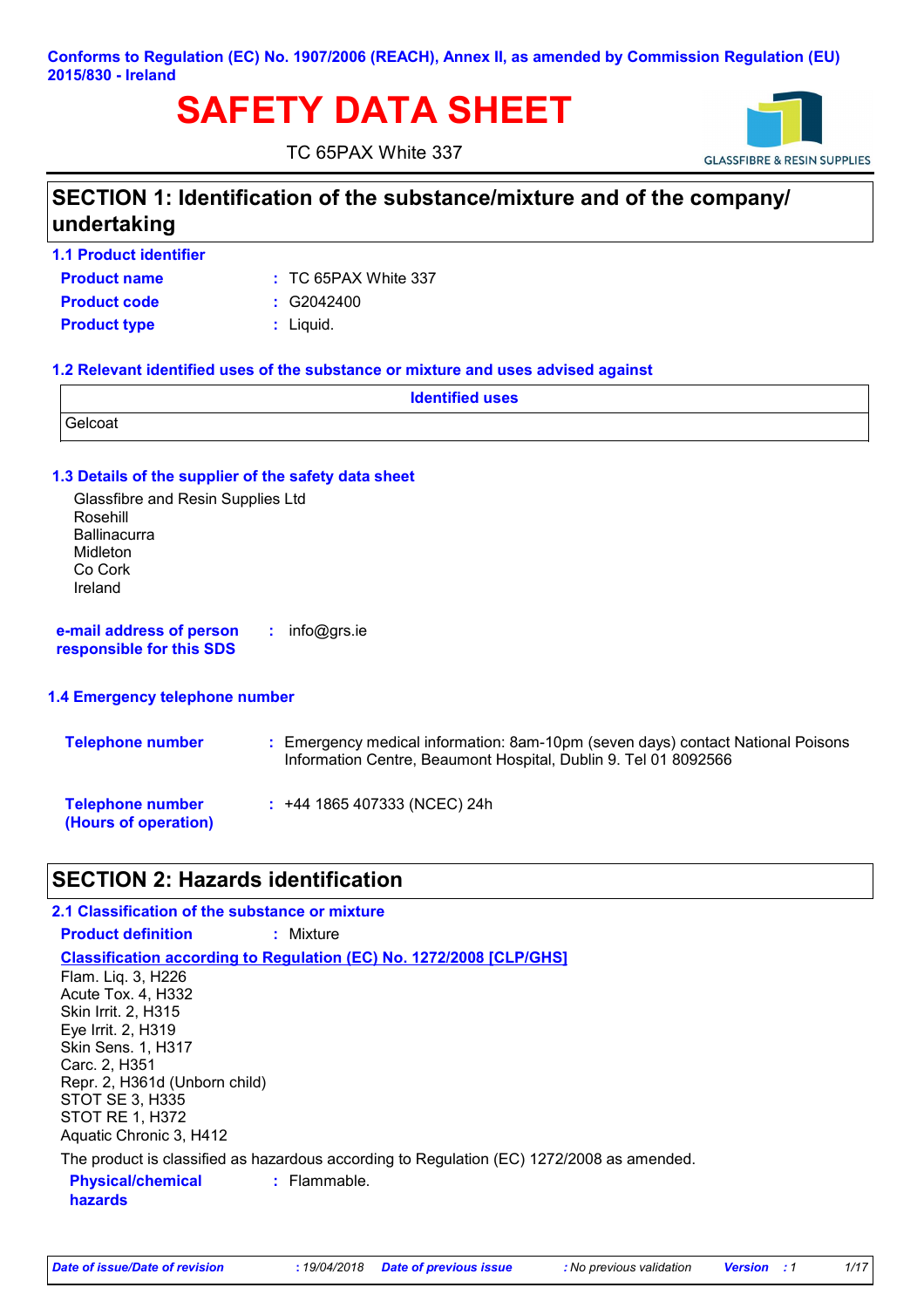### **Conforms to Regulation (EC) No. 1907/2006 (REACH), Annex II, as amended by Commission Regulation (EU) 2015/830 - Ireland**

## **SAFETY DATA SHEET**

TC 65PAX White 337



## **SECTION 1: Identification of the substance/mixture and of the company/ undertaking**

**1.1 Product identifier**

TC 65PAX White 337 **:**

**Product type :** Liquid. **Product code :** G2042400

**Product name**

### **1.2 Relevant identified uses of the substance or mixture and uses advised against**

| <b>Identified uses</b> |  |
|------------------------|--|
| Gelcoat                |  |

### **1.3 Details of the supplier of the safety data sheet**

Glassfibre and Resin Supplies Ltd Rosehill **Ballinacurra** Midleton Co Cork Ireland

**e-mail address of person responsible for this SDS :** info@grs.ie

### **1.4 Emergency telephone number**

| <b>Telephone number</b>                         | : Emergency medical information: 8am-10pm (seven days) contact National Poisons<br>Information Centre, Beaumont Hospital, Dublin 9. Tel 01 8092566 |
|-------------------------------------------------|----------------------------------------------------------------------------------------------------------------------------------------------------|
| <b>Telephone number</b><br>(Hours of operation) | $: +44$ 1865 407333 (NCEC) 24h                                                                                                                     |

## **SECTION 2: Hazards identification**

### **:** Flammable. **Classification according to Regulation (EC) No. 1272/2008 [CLP/GHS] 2.1 Classification of the substance or mixture Product definition :** Mixture Flam. Liq. 3, H226 Acute Tox. 4, H332 Skin Irrit. 2, H315 Eye Irrit. 2, H319 Skin Sens. 1, H317 Carc. 2, H351 Repr. 2, H361d (Unborn child) STOT SE 3, H335 STOT RE 1, H372 Aquatic Chronic 3, H412 The product is classified as hazardous according to Regulation (EC) 1272/2008 as amended.

**Physical/chemical hazards**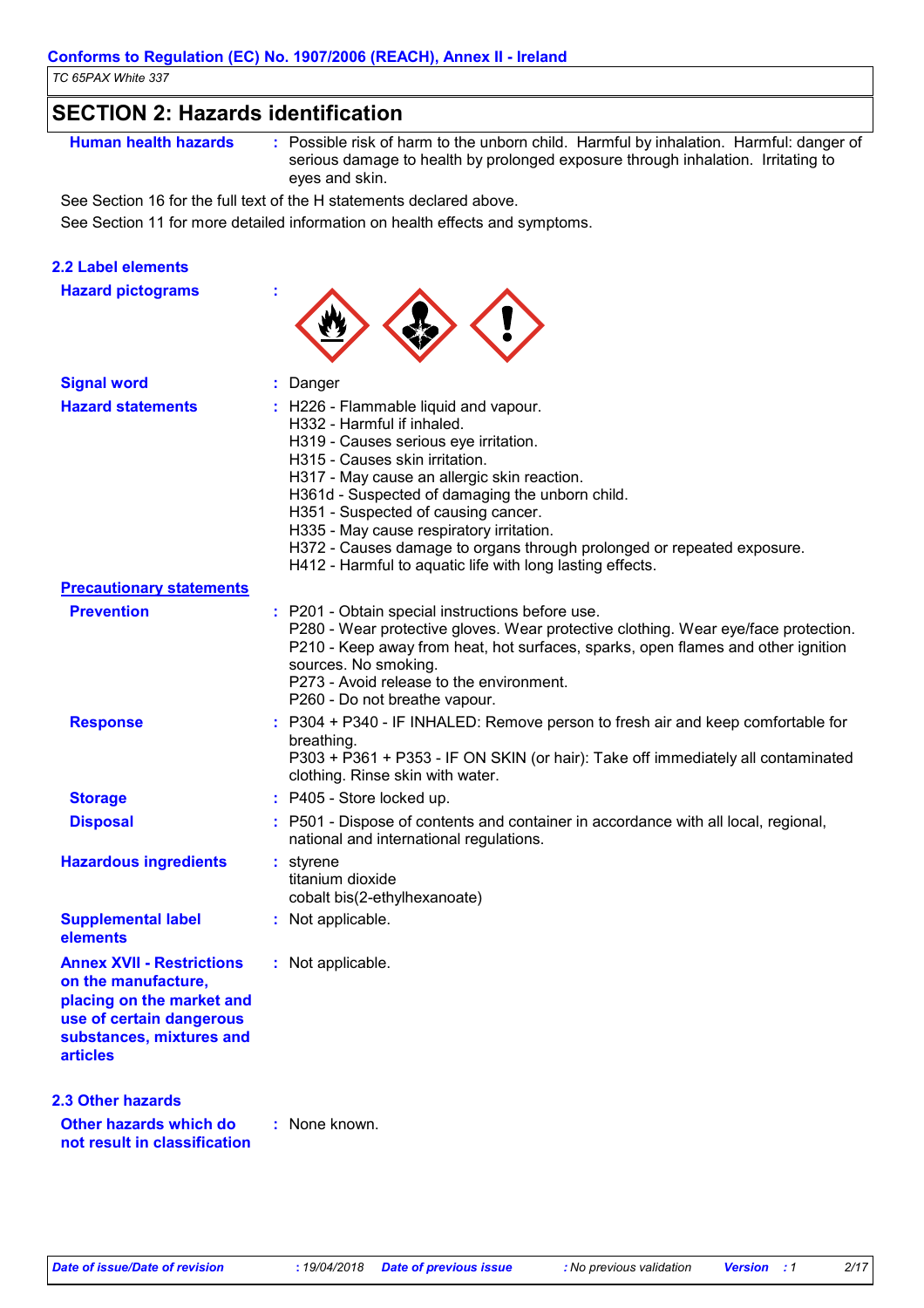| <b>SECTION 2: Hazards identification</b>                                                                                                                        |                                                                                                                                                                                                                                                                                                                                                                                                                                                                            |
|-----------------------------------------------------------------------------------------------------------------------------------------------------------------|----------------------------------------------------------------------------------------------------------------------------------------------------------------------------------------------------------------------------------------------------------------------------------------------------------------------------------------------------------------------------------------------------------------------------------------------------------------------------|
| <b>Human health hazards</b>                                                                                                                                     | : Possible risk of harm to the unborn child. Harmful by inhalation. Harmful: danger of<br>serious damage to health by prolonged exposure through inhalation. Irritating to<br>eyes and skin.                                                                                                                                                                                                                                                                               |
|                                                                                                                                                                 | See Section 16 for the full text of the H statements declared above.                                                                                                                                                                                                                                                                                                                                                                                                       |
|                                                                                                                                                                 | See Section 11 for more detailed information on health effects and symptoms.                                                                                                                                                                                                                                                                                                                                                                                               |
| <b>2.2 Label elements</b>                                                                                                                                       |                                                                                                                                                                                                                                                                                                                                                                                                                                                                            |
| <b>Hazard pictograms</b>                                                                                                                                        |                                                                                                                                                                                                                                                                                                                                                                                                                                                                            |
| <b>Signal word</b>                                                                                                                                              | Danger                                                                                                                                                                                                                                                                                                                                                                                                                                                                     |
| <b>Hazard statements</b>                                                                                                                                        | : H226 - Flammable liquid and vapour.<br>H332 - Harmful if inhaled.<br>H319 - Causes serious eye irritation.<br>H315 - Causes skin irritation.<br>H317 - May cause an allergic skin reaction.<br>H361d - Suspected of damaging the unborn child.<br>H351 - Suspected of causing cancer.<br>H335 - May cause respiratory irritation.<br>H372 - Causes damage to organs through prolonged or repeated exposure.<br>H412 - Harmful to aquatic life with long lasting effects. |
| <b>Precautionary statements</b>                                                                                                                                 |                                                                                                                                                                                                                                                                                                                                                                                                                                                                            |
| <b>Prevention</b>                                                                                                                                               | : P201 - Obtain special instructions before use.<br>P280 - Wear protective gloves. Wear protective clothing. Wear eye/face protection.<br>P210 - Keep away from heat, hot surfaces, sparks, open flames and other ignition<br>sources. No smoking.<br>P273 - Avoid release to the environment.<br>P260 - Do not breathe vapour.                                                                                                                                            |
| <b>Response</b>                                                                                                                                                 | : P304 + P340 - IF INHALED: Remove person to fresh air and keep comfortable for<br>breathing.<br>P303 + P361 + P353 - IF ON SKIN (or hair): Take off immediately all contaminated<br>clothing. Rinse skin with water.                                                                                                                                                                                                                                                      |
| <b>Storage</b>                                                                                                                                                  | : P405 - Store locked up.                                                                                                                                                                                                                                                                                                                                                                                                                                                  |
| <b>Disposal</b>                                                                                                                                                 | : P501 - Dispose of contents and container in accordance with all local, regional,<br>national and international regulations.                                                                                                                                                                                                                                                                                                                                              |
| <b>Hazardous ingredients</b>                                                                                                                                    | styrene<br>titanium dioxide<br>cobalt bis(2-ethylhexanoate)                                                                                                                                                                                                                                                                                                                                                                                                                |
| <b>Supplemental label</b><br>elements                                                                                                                           | : Not applicable.                                                                                                                                                                                                                                                                                                                                                                                                                                                          |
| <b>Annex XVII - Restrictions</b><br>on the manufacture,<br>placing on the market and<br>use of certain dangerous<br>substances, mixtures and<br><b>articles</b> | : Not applicable.                                                                                                                                                                                                                                                                                                                                                                                                                                                          |
| <b>2.3 Other hazards</b>                                                                                                                                        |                                                                                                                                                                                                                                                                                                                                                                                                                                                                            |
| Other hazards which do<br>not result in classification                                                                                                          | : None known.                                                                                                                                                                                                                                                                                                                                                                                                                                                              |
|                                                                                                                                                                 |                                                                                                                                                                                                                                                                                                                                                                                                                                                                            |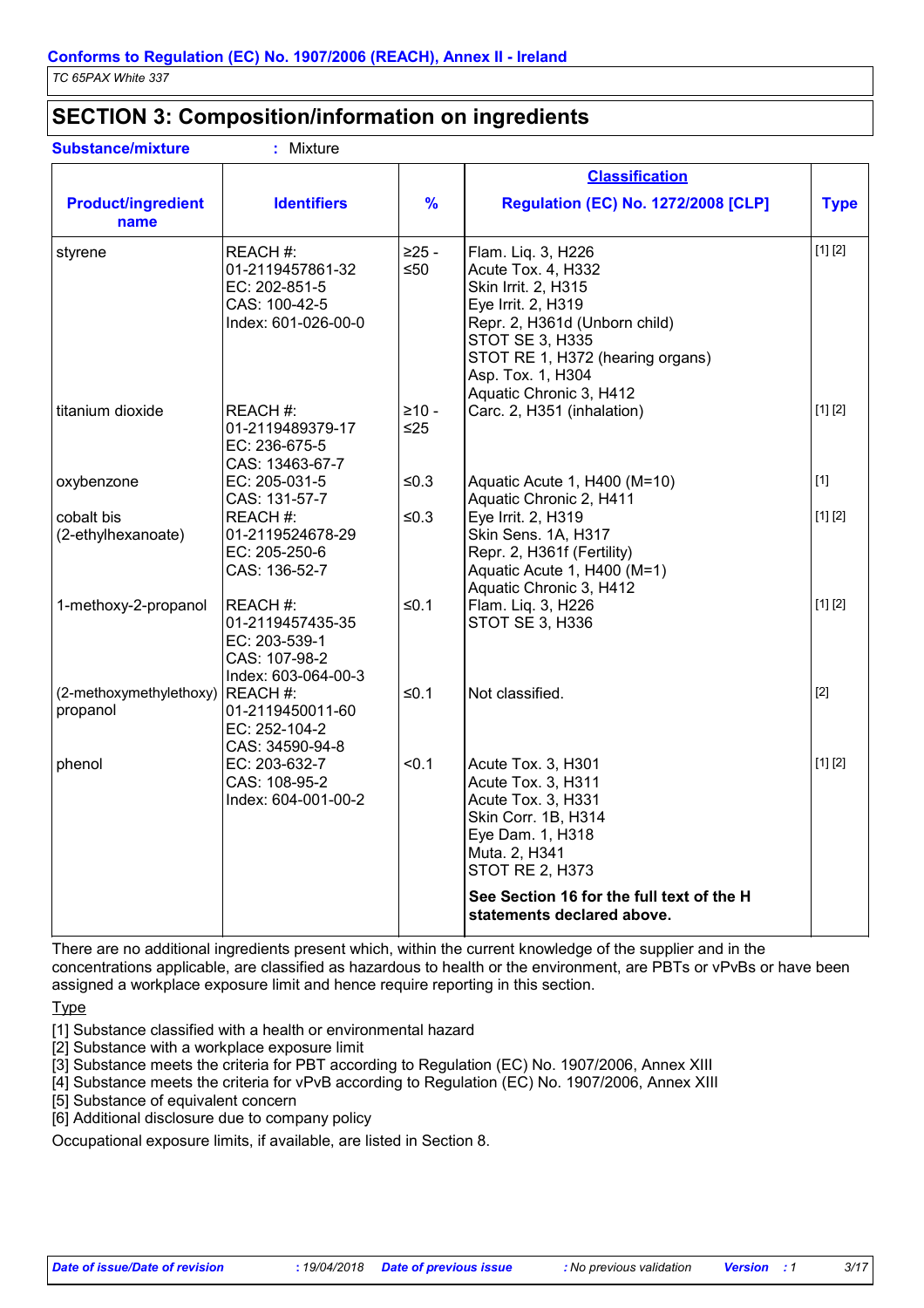## **SECTION 3: Composition/information on ingredients**

| <b>Substance/mixture</b>            | : Mixture                                                                             |                  |                                                                                                                                                                                                                                      |             |
|-------------------------------------|---------------------------------------------------------------------------------------|------------------|--------------------------------------------------------------------------------------------------------------------------------------------------------------------------------------------------------------------------------------|-------------|
|                                     |                                                                                       |                  | <b>Classification</b>                                                                                                                                                                                                                |             |
| <b>Product/ingredient</b><br>name   | <b>Identifiers</b>                                                                    | %                | <b>Regulation (EC) No. 1272/2008 [CLP]</b>                                                                                                                                                                                           | <b>Type</b> |
| styrene                             | REACH #:<br>01-2119457861-32<br>EC: 202-851-5<br>CAS: 100-42-5<br>Index: 601-026-00-0 | $>25 -$<br>$≤50$ | Flam. Liq. 3, H226<br>Acute Tox. 4, H332<br>Skin Irrit. 2, H315<br>Eye Irrit. 2, H319<br>Repr. 2, H361d (Unborn child)<br><b>STOT SE 3, H335</b><br>STOT RE 1, H372 (hearing organs)<br>Asp. Tox. 1, H304<br>Aquatic Chronic 3, H412 | [1] [2]     |
| titanium dioxide                    | REACH #:<br>01-2119489379-17<br>EC: 236-675-5<br>CAS: 13463-67-7                      | $≥10-$<br>$≤25$  | Carc. 2, H351 (inhalation)                                                                                                                                                                                                           | [1] [2]     |
| oxybenzone                          | EC: 205-031-5<br>CAS: 131-57-7                                                        | $≤0.3$           | Aquatic Acute 1, H400 (M=10)<br>Aquatic Chronic 2, H411                                                                                                                                                                              | $[1]$       |
| cobalt bis<br>(2-ethylhexanoate)    | REACH #:<br>01-2119524678-29<br>EC: 205-250-6<br>CAS: 136-52-7                        | $≤0.3$           | Eye Irrit. 2, H319<br>Skin Sens. 1A, H317<br>Repr. 2, H361f (Fertility)<br>Aquatic Acute 1, H400 (M=1)<br>Aquatic Chronic 3, H412                                                                                                    | [1] [2]     |
| 1-methoxy-2-propanol                | REACH #:<br>01-2119457435-35<br>EC: 203-539-1<br>CAS: 107-98-2<br>Index: 603-064-00-3 | $≤0.1$           | Flam. Liq. 3, H226<br>STOT SE 3, H336                                                                                                                                                                                                | [1] [2]     |
| (2-methoxymethylethoxy)<br>propanol | REACH#:<br>01-2119450011-60<br>EC: 252-104-2<br>CAS: 34590-94-8                       | ≤0.1             | Not classified.                                                                                                                                                                                                                      | $[2]$       |
| phenol                              | EC: 203-632-7<br>CAS: 108-95-2<br>Index: 604-001-00-2                                 | < 0.1            | Acute Tox. 3, H301<br>Acute Tox. 3, H311<br>Acute Tox. 3, H331<br>Skin Corr. 1B, H314<br>Eye Dam. 1, H318<br>Muta. 2, H341<br><b>STOT RE 2, H373</b><br>See Section 16 for the full text of the H<br>statements declared above.      | [1] [2]     |

There are no additional ingredients present which, within the current knowledge of the supplier and in the concentrations applicable, are classified as hazardous to health or the environment, are PBTs or vPvBs or have been assigned a workplace exposure limit and hence require reporting in this section.

**Type** 

[1] Substance classified with a health or environmental hazard

[2] Substance with a workplace exposure limit

[3] Substance meets the criteria for PBT according to Regulation (EC) No. 1907/2006, Annex XIII

[4] Substance meets the criteria for vPvB according to Regulation (EC) No. 1907/2006, Annex XIII

[5] Substance of equivalent concern

[6] Additional disclosure due to company policy

Occupational exposure limits, if available, are listed in Section 8.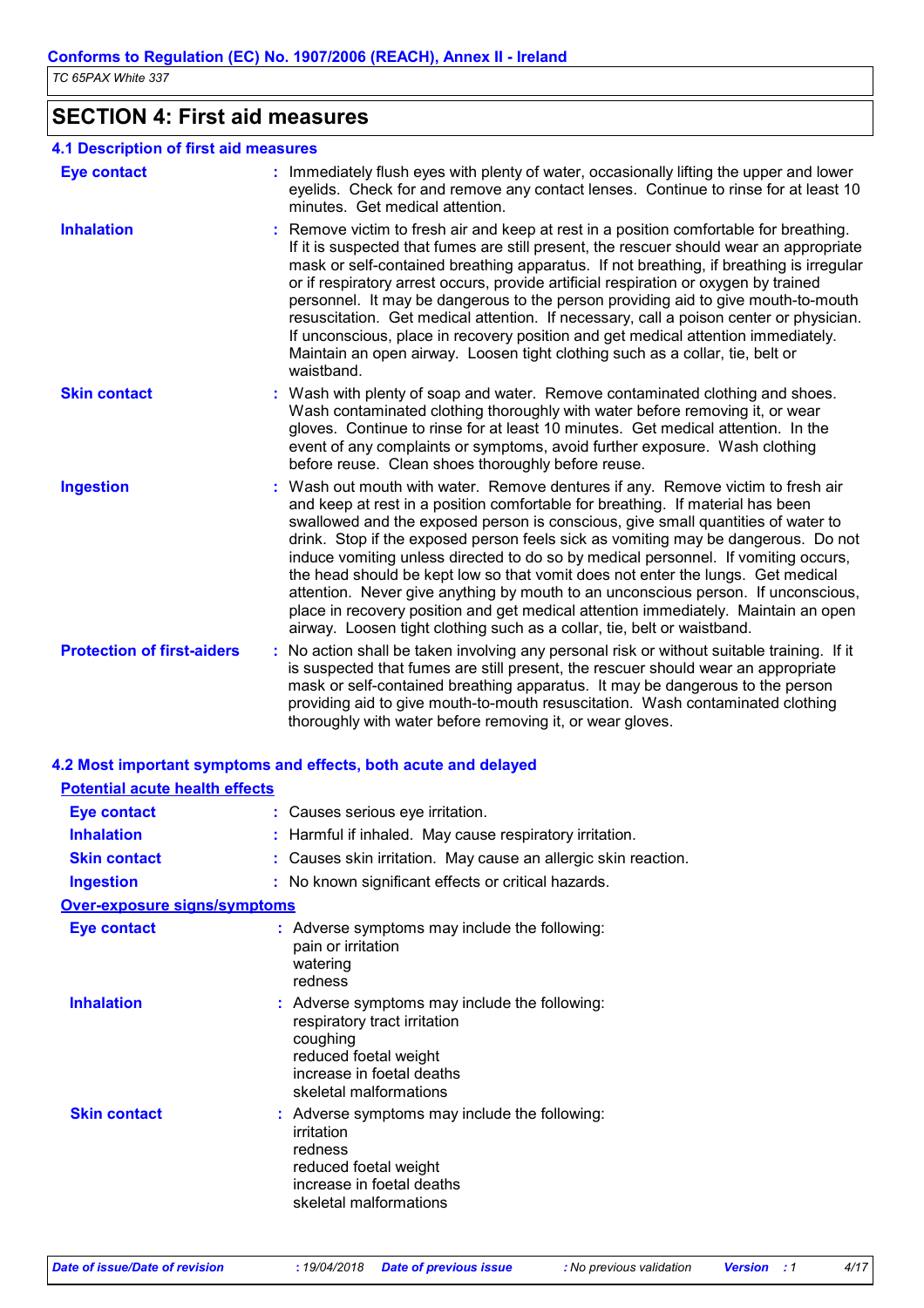| TC 65PAX White 337 |
|--------------------|
|--------------------|

# **SECTION 4: First aid measures**

| 4.1 Description of first aid measures |                                                                                                                                                                                                                                                                                                                                                                                                                                                                                                                                                                                                                                                                                                                                                                           |
|---------------------------------------|---------------------------------------------------------------------------------------------------------------------------------------------------------------------------------------------------------------------------------------------------------------------------------------------------------------------------------------------------------------------------------------------------------------------------------------------------------------------------------------------------------------------------------------------------------------------------------------------------------------------------------------------------------------------------------------------------------------------------------------------------------------------------|
| <b>Eye contact</b>                    | : Immediately flush eyes with plenty of water, occasionally lifting the upper and lower<br>eyelids. Check for and remove any contact lenses. Continue to rinse for at least 10<br>minutes. Get medical attention.                                                                                                                                                                                                                                                                                                                                                                                                                                                                                                                                                         |
| <b>Inhalation</b>                     | Remove victim to fresh air and keep at rest in a position comfortable for breathing.<br>If it is suspected that fumes are still present, the rescuer should wear an appropriate<br>mask or self-contained breathing apparatus. If not breathing, if breathing is irregular<br>or if respiratory arrest occurs, provide artificial respiration or oxygen by trained<br>personnel. It may be dangerous to the person providing aid to give mouth-to-mouth<br>resuscitation. Get medical attention. If necessary, call a poison center or physician.<br>If unconscious, place in recovery position and get medical attention immediately.<br>Maintain an open airway. Loosen tight clothing such as a collar, tie, belt or<br>waistband.                                     |
| <b>Skin contact</b>                   | Wash with plenty of soap and water. Remove contaminated clothing and shoes.<br>Wash contaminated clothing thoroughly with water before removing it, or wear<br>gloves. Continue to rinse for at least 10 minutes. Get medical attention. In the<br>event of any complaints or symptoms, avoid further exposure. Wash clothing<br>before reuse. Clean shoes thoroughly before reuse.                                                                                                                                                                                                                                                                                                                                                                                       |
| <b>Ingestion</b>                      | : Wash out mouth with water. Remove dentures if any. Remove victim to fresh air<br>and keep at rest in a position comfortable for breathing. If material has been<br>swallowed and the exposed person is conscious, give small quantities of water to<br>drink. Stop if the exposed person feels sick as vomiting may be dangerous. Do not<br>induce vomiting unless directed to do so by medical personnel. If vomiting occurs,<br>the head should be kept low so that vomit does not enter the lungs. Get medical<br>attention. Never give anything by mouth to an unconscious person. If unconscious,<br>place in recovery position and get medical attention immediately. Maintain an open<br>airway. Loosen tight clothing such as a collar, tie, belt or waistband. |
| <b>Protection of first-aiders</b>     | : No action shall be taken involving any personal risk or without suitable training. If it<br>is suspected that fumes are still present, the rescuer should wear an appropriate<br>mask or self-contained breathing apparatus. It may be dangerous to the person<br>providing aid to give mouth-to-mouth resuscitation. Wash contaminated clothing<br>thoroughly with water before removing it, or wear gloves.                                                                                                                                                                                                                                                                                                                                                           |
|                                       | 4.2 Most important symptoms and effects, both acute and delayed                                                                                                                                                                                                                                                                                                                                                                                                                                                                                                                                                                                                                                                                                                           |
| <b>Potential acute health effects</b> |                                                                                                                                                                                                                                                                                                                                                                                                                                                                                                                                                                                                                                                                                                                                                                           |
| <b>Eye contact</b>                    | : Causes serious eye irritation.                                                                                                                                                                                                                                                                                                                                                                                                                                                                                                                                                                                                                                                                                                                                          |
| <b>Inhalation</b>                     | : Harmful if inhaled. May cause respiratory irritation.                                                                                                                                                                                                                                                                                                                                                                                                                                                                                                                                                                                                                                                                                                                   |
| <b>Skin contact</b>                   | : Causes skin irritation. May cause an allergic skin reaction.                                                                                                                                                                                                                                                                                                                                                                                                                                                                                                                                                                                                                                                                                                            |
| <b>Ingestion</b>                      | : No known significant effects or critical hazards.                                                                                                                                                                                                                                                                                                                                                                                                                                                                                                                                                                                                                                                                                                                       |
| Over-exposure signs/symptoms          |                                                                                                                                                                                                                                                                                                                                                                                                                                                                                                                                                                                                                                                                                                                                                                           |
| <b>Eye contact</b>                    | : Adverse symptoms may include the following:<br>pain or irritation<br>watering<br>redness                                                                                                                                                                                                                                                                                                                                                                                                                                                                                                                                                                                                                                                                                |
| <b>Inhalation</b>                     | : Adverse symptoms may include the following:<br>respiratory tract irritation<br>coughing<br>reduced foetal weight<br>increase in foetal deaths<br>skeletal malformations                                                                                                                                                                                                                                                                                                                                                                                                                                                                                                                                                                                                 |
| <b>Skin contact</b>                   | : Adverse symptoms may include the following:<br>irritation<br>redness<br>reduced foetal weight                                                                                                                                                                                                                                                                                                                                                                                                                                                                                                                                                                                                                                                                           |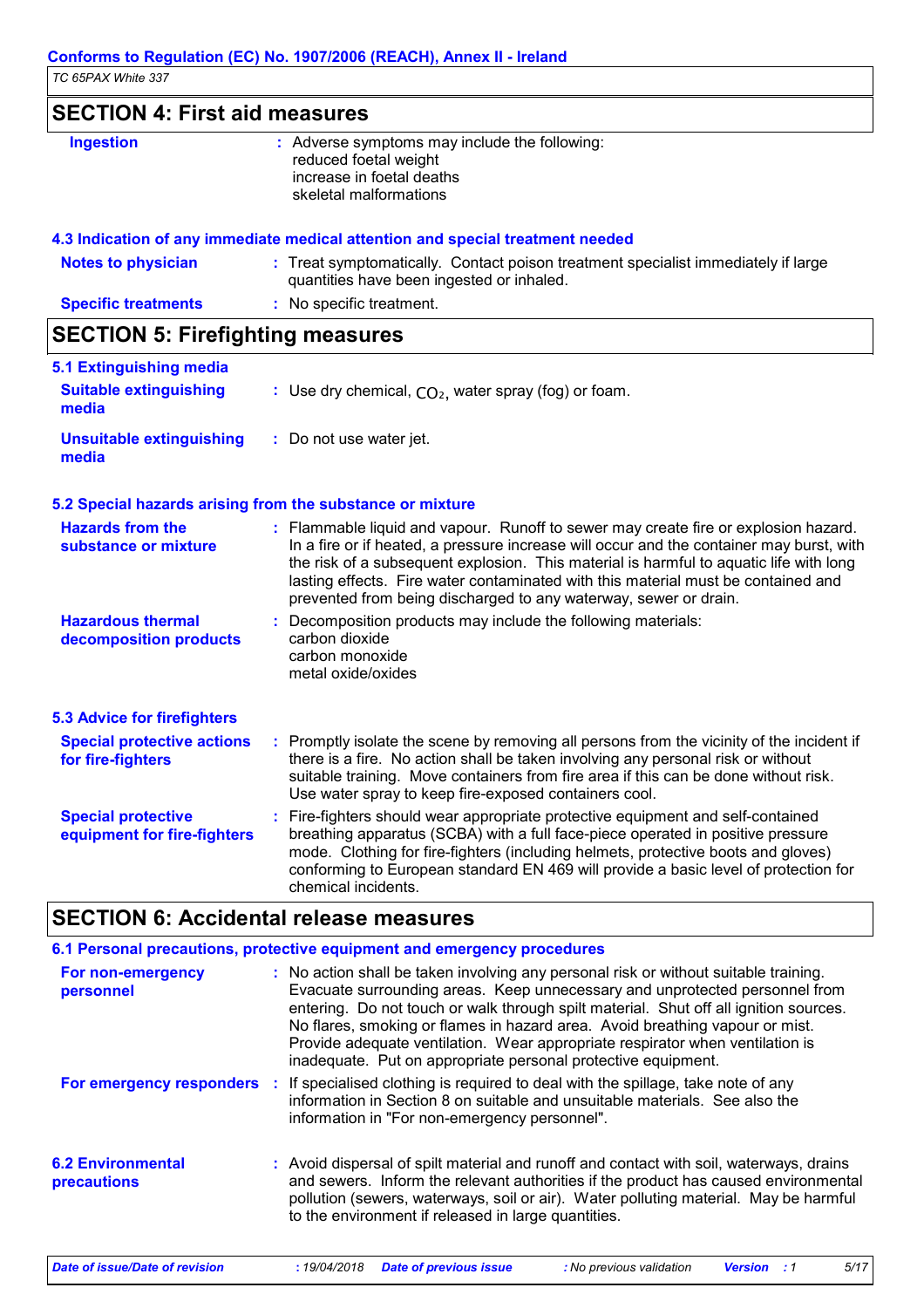## **SECTION 4: First aid measures**

| <b>Ingestion</b> | : Adverse symptoms may include the following:<br>reduced foetal weight<br>increase in foetal deaths<br>skeletal malformations |
|------------------|-------------------------------------------------------------------------------------------------------------------------------|
|                  |                                                                                                                               |

### **4.3 Indication of any immediate medical attention and special treatment needed**

| <b>Notes to physician</b>  | : Treat symptomatically. Contact poison treatment specialist immediately if large<br>quantities have been ingested or inhaled. |
|----------------------------|--------------------------------------------------------------------------------------------------------------------------------|
| <b>Specific treatments</b> | : No specific treatment.                                                                                                       |

## **SECTION 5: Firefighting measures**

| 5.1 Extinguishing media<br><b>Suitable extinguishing</b><br>media | : Use dry chemical, $CO2$ , water spray (fog) or foam. |
|-------------------------------------------------------------------|--------------------------------------------------------|
| Unsuitable extinguishing<br>media                                 | : Do not use water jet.                                |

### **5.2 Special hazards arising from the substance or mixture**

| <b>Hazards from the</b><br>substance or mixture          | : Flammable liquid and vapour. Runoff to sewer may create fire or explosion hazard.<br>In a fire or if heated, a pressure increase will occur and the container may burst, with<br>the risk of a subsequent explosion. This material is harmful to aquatic life with long<br>lasting effects. Fire water contaminated with this material must be contained and<br>prevented from being discharged to any waterway, sewer or drain. |
|----------------------------------------------------------|------------------------------------------------------------------------------------------------------------------------------------------------------------------------------------------------------------------------------------------------------------------------------------------------------------------------------------------------------------------------------------------------------------------------------------|
| <b>Hazardous thermal</b><br>decomposition products       | : Decomposition products may include the following materials:<br>carbon dioxide<br>carbon monoxide<br>metal oxide/oxides                                                                                                                                                                                                                                                                                                           |
| <b>5.3 Advice for firefighters</b>                       |                                                                                                                                                                                                                                                                                                                                                                                                                                    |
| <b>Special protective actions</b><br>for fire-fighters   | : Promptly isolate the scene by removing all persons from the vicinity of the incident if<br>there is a fire. No action shall be taken involving any personal risk or without<br>suitable training. Move containers from fire area if this can be done without risk.<br>Use water spray to keep fire-exposed containers cool.                                                                                                      |
| <b>Special protective</b><br>equipment for fire-fighters | : Fire-fighters should wear appropriate protective equipment and self-contained<br>breathing apparatus (SCBA) with a full face-piece operated in positive pressure<br>mode. Clothing for fire-fighters (including helmets, protective boots and gloves)<br>conforming to European standard EN 469 will provide a basic level of protection for<br>chemical incidents.                                                              |

## **SECTION 6: Accidental release measures**

|                                         | 6.1 Personal precautions, protective equipment and emergency procedures                                                                                                                                                                                                                                                                                                                                                                                                                        |
|-----------------------------------------|------------------------------------------------------------------------------------------------------------------------------------------------------------------------------------------------------------------------------------------------------------------------------------------------------------------------------------------------------------------------------------------------------------------------------------------------------------------------------------------------|
| For non-emergency<br>personnel          | : No action shall be taken involving any personal risk or without suitable training.<br>Evacuate surrounding areas. Keep unnecessary and unprotected personnel from<br>entering. Do not touch or walk through spilt material. Shut off all ignition sources.<br>No flares, smoking or flames in hazard area. Avoid breathing vapour or mist.<br>Provide adequate ventilation. Wear appropriate respirator when ventilation is<br>inadequate. Put on appropriate personal protective equipment. |
|                                         | For emergency responders : If specialised clothing is required to deal with the spillage, take note of any<br>information in Section 8 on suitable and unsuitable materials. See also the<br>information in "For non-emergency personnel".                                                                                                                                                                                                                                                     |
| <b>6.2 Environmental</b><br>precautions | : Avoid dispersal of spilt material and runoff and contact with soil, waterways, drains<br>and sewers. Inform the relevant authorities if the product has caused environmental<br>pollution (sewers, waterways, soil or air). Water polluting material. May be harmful<br>to the environment if released in large quantities.                                                                                                                                                                  |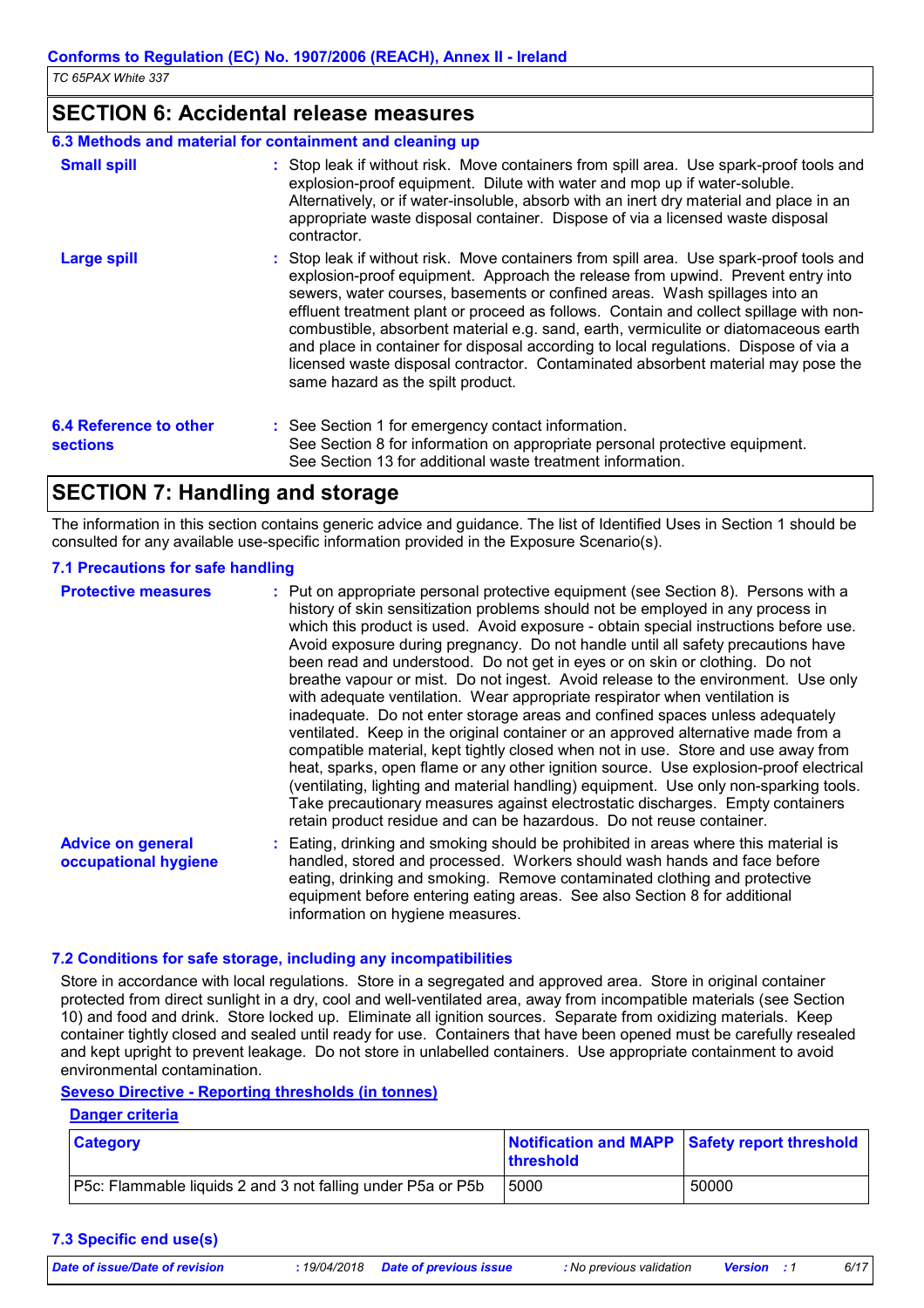### **SECTION 6: Accidental release measures**

### **6.3 Methods and material for containment and cleaning up**

| <b>Small spill</b>                               | : Stop leak if without risk. Move containers from spill area. Use spark-proof tools and<br>explosion-proof equipment. Dilute with water and mop up if water-soluble.<br>Alternatively, or if water-insoluble, absorb with an inert dry material and place in an<br>appropriate waste disposal container. Dispose of via a licensed waste disposal<br>contractor.                                                                                                                                                                                                                                                                                           |
|--------------------------------------------------|------------------------------------------------------------------------------------------------------------------------------------------------------------------------------------------------------------------------------------------------------------------------------------------------------------------------------------------------------------------------------------------------------------------------------------------------------------------------------------------------------------------------------------------------------------------------------------------------------------------------------------------------------------|
| <b>Large spill</b>                               | : Stop leak if without risk. Move containers from spill area. Use spark-proof tools and<br>explosion-proof equipment. Approach the release from upwind. Prevent entry into<br>sewers, water courses, basements or confined areas. Wash spillages into an<br>effluent treatment plant or proceed as follows. Contain and collect spillage with non-<br>combustible, absorbent material e.g. sand, earth, vermiculite or diatomaceous earth<br>and place in container for disposal according to local regulations. Dispose of via a<br>licensed waste disposal contractor. Contaminated absorbent material may pose the<br>same hazard as the spilt product. |
| <b>6.4 Reference to other</b><br><b>sections</b> | : See Section 1 for emergency contact information.<br>See Section 8 for information on appropriate personal protective equipment.<br>See Section 13 for additional waste treatment information.                                                                                                                                                                                                                                                                                                                                                                                                                                                            |

### **SECTION 7: Handling and storage**

The information in this section contains generic advice and guidance. The list of Identified Uses in Section 1 should be consulted for any available use-specific information provided in the Exposure Scenario(s).

### **7.1 Precautions for safe handling**

| <b>Protective measures</b>                       | : Put on appropriate personal protective equipment (see Section 8). Persons with a<br>history of skin sensitization problems should not be employed in any process in<br>which this product is used. Avoid exposure - obtain special instructions before use.<br>Avoid exposure during pregnancy. Do not handle until all safety precautions have<br>been read and understood. Do not get in eyes or on skin or clothing. Do not<br>breathe vapour or mist. Do not ingest. Avoid release to the environment. Use only<br>with adequate ventilation. Wear appropriate respirator when ventilation is<br>inadequate. Do not enter storage areas and confined spaces unless adequately<br>ventilated. Keep in the original container or an approved alternative made from a<br>compatible material, kept tightly closed when not in use. Store and use away from<br>heat, sparks, open flame or any other ignition source. Use explosion-proof electrical<br>(ventilating, lighting and material handling) equipment. Use only non-sparking tools.<br>Take precautionary measures against electrostatic discharges. Empty containers<br>retain product residue and can be hazardous. Do not reuse container. |
|--------------------------------------------------|-----------------------------------------------------------------------------------------------------------------------------------------------------------------------------------------------------------------------------------------------------------------------------------------------------------------------------------------------------------------------------------------------------------------------------------------------------------------------------------------------------------------------------------------------------------------------------------------------------------------------------------------------------------------------------------------------------------------------------------------------------------------------------------------------------------------------------------------------------------------------------------------------------------------------------------------------------------------------------------------------------------------------------------------------------------------------------------------------------------------------------------------------------------------------------------------------------------|
| <b>Advice on general</b><br>occupational hygiene | : Eating, drinking and smoking should be prohibited in areas where this material is<br>handled, stored and processed. Workers should wash hands and face before<br>eating, drinking and smoking. Remove contaminated clothing and protective<br>equipment before entering eating areas. See also Section 8 for additional<br>information on hygiene measures.                                                                                                                                                                                                                                                                                                                                                                                                                                                                                                                                                                                                                                                                                                                                                                                                                                             |

### **7.2 Conditions for safe storage, including any incompatibilities**

Store in accordance with local regulations. Store in a segregated and approved area. Store in original container protected from direct sunlight in a dry, cool and well-ventilated area, away from incompatible materials (see Section 10) and food and drink. Store locked up. Eliminate all ignition sources. Separate from oxidizing materials. Keep container tightly closed and sealed until ready for use. Containers that have been opened must be carefully resealed and kept upright to prevent leakage. Do not store in unlabelled containers. Use appropriate containment to avoid environmental contamination.

### **Seveso Directive - Reporting thresholds (in tonnes)**

### **Danger criteria**

| <b>Category</b>                                                    | <b>threshold</b> | Notification and MAPP Safety report threshold |
|--------------------------------------------------------------------|------------------|-----------------------------------------------|
| <b>P5c:</b> Flammable liquids 2 and 3 not falling under P5a or P5b | 5000             | 50000                                         |

#### **7.3 Specific end use(s)**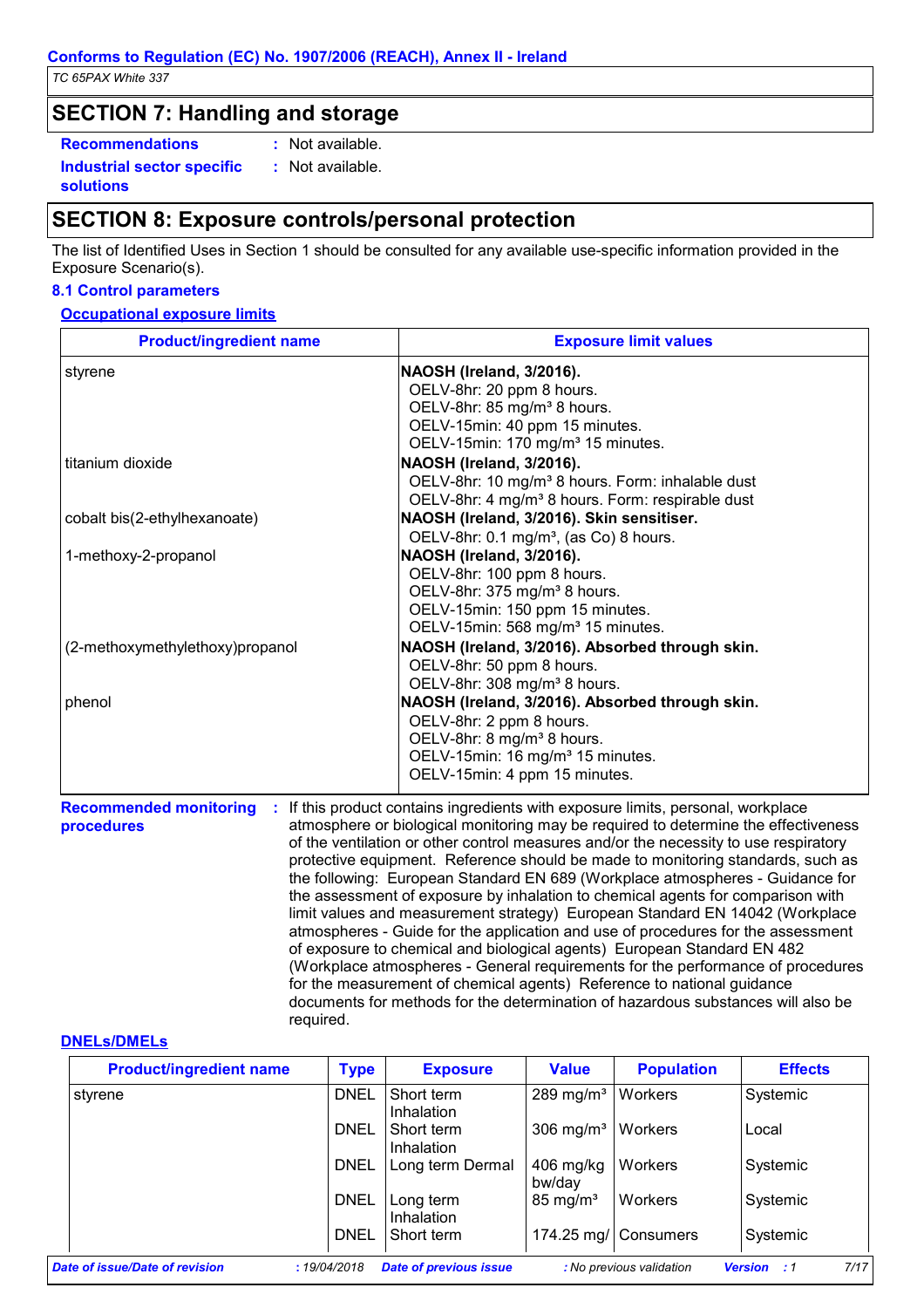**solutions**

### **SECTION 7: Handling and storage**

**Recommendations : Industrial sector specific :** : Not available.

: Not available.

## **SECTION 8: Exposure controls/personal protection**

The list of Identified Uses in Section 1 should be consulted for any available use-specific information provided in the Exposure Scenario(s).

### **8.1 Control parameters**

### **Occupational exposure limits**

| <b>Product/ingredient name</b>  | <b>Exposure limit values</b>                                                     |
|---------------------------------|----------------------------------------------------------------------------------|
| styrene                         | NAOSH (Ireland, 3/2016).                                                         |
|                                 | OELV-8hr: 20 ppm 8 hours.                                                        |
|                                 | OELV-8hr: 85 mg/m <sup>3</sup> 8 hours.                                          |
|                                 | OELV-15min: 40 ppm 15 minutes.                                                   |
|                                 | OELV-15min: 170 mg/m <sup>3</sup> 15 minutes.                                    |
| titanium dioxide                | NAOSH (Ireland, 3/2016).                                                         |
|                                 | OELV-8hr: 10 mg/m <sup>3</sup> 8 hours. Form: inhalable dust                     |
|                                 | OELV-8hr: 4 mg/m <sup>3</sup> 8 hours. Form: respirable dust                     |
| cobalt bis(2-ethylhexanoate)    | NAOSH (Ireland, 3/2016). Skin sensitiser.                                        |
|                                 | OELV-8hr: 0.1 mg/m <sup>3</sup> , (as Co) 8 hours.                               |
| 1-methoxy-2-propanol            | NAOSH (Ireland, 3/2016).                                                         |
|                                 | OELV-8hr: 100 ppm 8 hours.                                                       |
|                                 | OELV-8hr: 375 mg/m <sup>3</sup> 8 hours.                                         |
|                                 | OELV-15min: 150 ppm 15 minutes.                                                  |
|                                 | OELV-15min: 568 mg/m <sup>3</sup> 15 minutes.                                    |
| (2-methoxymethylethoxy)propanol | NAOSH (Ireland, 3/2016). Absorbed through skin.                                  |
|                                 | OELV-8hr: 50 ppm 8 hours.                                                        |
|                                 | OELV-8hr: 308 mg/m <sup>3</sup> 8 hours.                                         |
| phenol                          | NAOSH (Ireland, 3/2016). Absorbed through skin.                                  |
|                                 | OELV-8hr: 2 ppm 8 hours.                                                         |
|                                 | OELV-8hr: 8 mg/m <sup>3</sup> 8 hours.                                           |
|                                 | OELV-15min: 16 mg/m <sup>3</sup> 15 minutes.                                     |
|                                 | OELV-15min: 4 ppm 15 minutes.                                                    |
| <b>Recommended monitoring</b>   | : If this product contains ingredients with exposure limits, personal, workplace |

**procedures**

If this product contains ingredients with exposure limits, personal, workplace atmosphere or biological monitoring may be required to determine the effectiveness of the ventilation or other control measures and/or the necessity to use respiratory protective equipment. Reference should be made to monitoring standards, such as the following: European Standard EN 689 (Workplace atmospheres - Guidance for the assessment of exposure by inhalation to chemical agents for comparison with limit values and measurement strategy) European Standard EN 14042 (Workplace atmospheres - Guide for the application and use of procedures for the assessment of exposure to chemical and biological agents) European Standard EN 482 (Workplace atmospheres - General requirements for the performance of procedures for the measurement of chemical agents) Reference to national guidance documents for methods for the determination of hazardous substances will also be required. **:**

### **DNELs/DMELs**

| <b>Product/ingredient name</b> | <b>Type</b> | <b>Exposure</b>                 | <b>Value</b>                    | <b>Population</b>        | <b>Effects</b>                |
|--------------------------------|-------------|---------------------------------|---------------------------------|--------------------------|-------------------------------|
| styrene                        | <b>DNEL</b> | Short term<br><b>Inhalation</b> | 289 mg/m <sup>3</sup>   Workers |                          | Systemic                      |
|                                | DNEL        | Short term<br>Inhalation        | 306 mg/ $m3$                    | Workers                  | Local                         |
|                                | <b>DNEL</b> | Long term Dermal                | $406$ mg/kg<br>bw/day           | Workers                  | Systemic                      |
|                                | <b>DNEL</b> | Long term<br><b>Inhalation</b>  | $85 \text{ mg/m}^3$             | Workers                  | Systemic                      |
|                                | <b>DNEL</b> | Short term                      |                                 | 174.25 mg/ Consumers     | Systemic                      |
| Date of issue/Date of revision | :19/04/2018 | <b>Date of previous issue</b>   |                                 | : No previous validation | 7/17<br><b>Version</b><br>- 1 |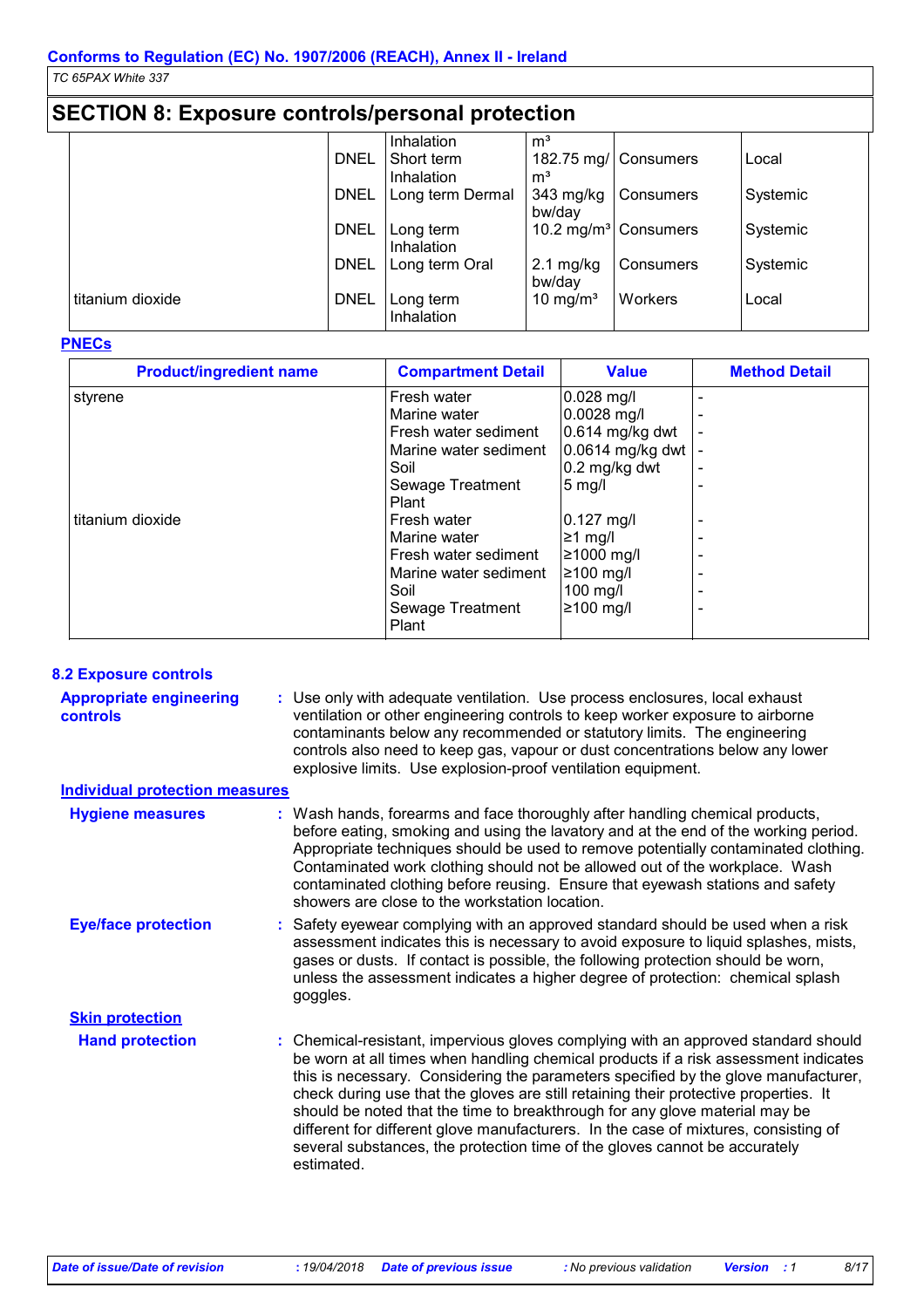## **SECTION 8: Exposure controls/personal protection**

|                  |             | Inhalation       | m <sup>3</sup>       |                                  |          |
|------------------|-------------|------------------|----------------------|----------------------------------|----------|
|                  | <b>DNEL</b> | Short term       |                      | 182.75 mg/ Consumers             | Local    |
|                  |             | Inhalation       | m <sup>3</sup>       |                                  |          |
|                  | <b>DNEL</b> | Long term Dermal | 343 mg/kg            | <b>Consumers</b>                 | Systemic |
|                  |             |                  | bw/day               |                                  |          |
|                  | <b>DNEL</b> | Long term        |                      | 10.2 mg/m <sup>3</sup> Consumers | Systemic |
|                  |             | Inhalation       |                      |                                  |          |
|                  | <b>DNEL</b> | Long term Oral   | $2.1 \text{ mg/kg}$  | Consumers                        | Systemic |
|                  |             |                  | bw/day               |                                  |          |
| titanium dioxide | <b>DNEL</b> | Long term        | 10 mg/m <sup>3</sup> | Workers                          | Local    |
|                  |             | Inhalation       |                      |                                  |          |

### **PNECs**

| <b>Product/ingredient name</b> | <b>Compartment Detail</b> | <b>Value</b>     | <b>Method Detail</b> |
|--------------------------------|---------------------------|------------------|----------------------|
| styrene                        | Fresh water               | $0.028$ mg/l     |                      |
|                                | Marine water              | 0.0028 mg/l      |                      |
|                                | Fresh water sediment      | 0.614 mg/kg dwt  |                      |
|                                | Marine water sediment     | 0.0614 mg/kg dwt |                      |
|                                | Soil                      | $0.2$ mg/kg dwt  |                      |
|                                | Sewage Treatment          | $5 \text{ mg/l}$ |                      |
|                                | Plant                     |                  |                      |
| titanium dioxide               | Fresh water               | $0.127$ mg/l     |                      |
|                                | Marine water              | $≥1$ mg/l        |                      |
|                                | Fresh water sediment      | 21000 mg/l       |                      |
|                                | Marine water sediment     | $≥100$ mg/l      |                      |
|                                | Soil                      | 100 mg/l         |                      |
|                                | Sewage Treatment          | ≥100 mg/l        |                      |
|                                | Plant                     |                  |                      |

### **8.2 Exposure controls**

| <b>Appropriate engineering</b><br><b>controls</b> | : Use only with adequate ventilation. Use process enclosures, local exhaust<br>ventilation or other engineering controls to keep worker exposure to airborne<br>contaminants below any recommended or statutory limits. The engineering<br>controls also need to keep gas, vapour or dust concentrations below any lower<br>explosive limits. Use explosion-proof ventilation equipment.                                                                                                                                                                                                                                  |
|---------------------------------------------------|---------------------------------------------------------------------------------------------------------------------------------------------------------------------------------------------------------------------------------------------------------------------------------------------------------------------------------------------------------------------------------------------------------------------------------------------------------------------------------------------------------------------------------------------------------------------------------------------------------------------------|
| <b>Individual protection measures</b>             |                                                                                                                                                                                                                                                                                                                                                                                                                                                                                                                                                                                                                           |
| <b>Hygiene measures</b>                           | : Wash hands, forearms and face thoroughly after handling chemical products,<br>before eating, smoking and using the lavatory and at the end of the working period.<br>Appropriate techniques should be used to remove potentially contaminated clothing.<br>Contaminated work clothing should not be allowed out of the workplace. Wash<br>contaminated clothing before reusing. Ensure that eyewash stations and safety<br>showers are close to the workstation location.                                                                                                                                               |
| <b>Eye/face protection</b>                        | : Safety eyewear complying with an approved standard should be used when a risk<br>assessment indicates this is necessary to avoid exposure to liquid splashes, mists,<br>gases or dusts. If contact is possible, the following protection should be worn,<br>unless the assessment indicates a higher degree of protection: chemical splash<br>goggles.                                                                                                                                                                                                                                                                  |
| <b>Skin protection</b>                            |                                                                                                                                                                                                                                                                                                                                                                                                                                                                                                                                                                                                                           |
| <b>Hand protection</b>                            | : Chemical-resistant, impervious gloves complying with an approved standard should<br>be worn at all times when handling chemical products if a risk assessment indicates<br>this is necessary. Considering the parameters specified by the glove manufacturer,<br>check during use that the gloves are still retaining their protective properties. It<br>should be noted that the time to breakthrough for any glove material may be<br>different for different glove manufacturers. In the case of mixtures, consisting of<br>several substances, the protection time of the gloves cannot be accurately<br>estimated. |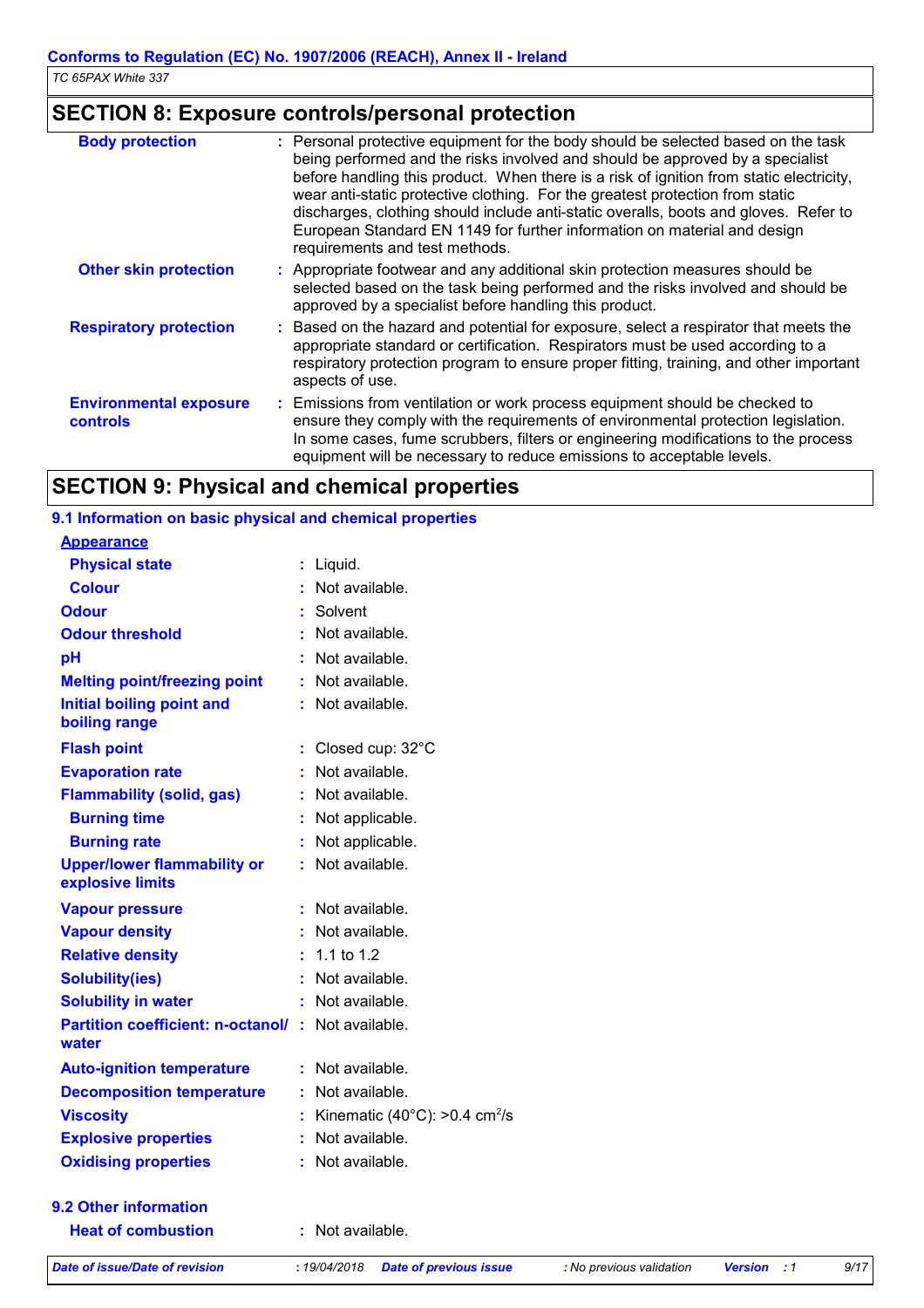## **SECTION 8: Exposure controls/personal protection**

| <b>Body protection</b>                    | : Personal protective equipment for the body should be selected based on the task<br>being performed and the risks involved and should be approved by a specialist<br>before handling this product. When there is a risk of ignition from static electricity,<br>wear anti-static protective clothing. For the greatest protection from static<br>discharges, clothing should include anti-static overalls, boots and gloves. Refer to<br>European Standard EN 1149 for further information on material and design<br>requirements and test methods. |
|-------------------------------------------|------------------------------------------------------------------------------------------------------------------------------------------------------------------------------------------------------------------------------------------------------------------------------------------------------------------------------------------------------------------------------------------------------------------------------------------------------------------------------------------------------------------------------------------------------|
| <b>Other skin protection</b>              | : Appropriate footwear and any additional skin protection measures should be<br>selected based on the task being performed and the risks involved and should be<br>approved by a specialist before handling this product.                                                                                                                                                                                                                                                                                                                            |
| <b>Respiratory protection</b>             | : Based on the hazard and potential for exposure, select a respirator that meets the<br>appropriate standard or certification. Respirators must be used according to a<br>respiratory protection program to ensure proper fitting, training, and other important<br>aspects of use.                                                                                                                                                                                                                                                                  |
| <b>Environmental exposure</b><br>controls | : Emissions from ventilation or work process equipment should be checked to<br>ensure they comply with the requirements of environmental protection legislation.<br>In some cases, fume scrubbers, filters or engineering modifications to the process<br>equipment will be necessary to reduce emissions to acceptable levels.                                                                                                                                                                                                                      |

## **SECTION 9: Physical and chemical properties**

### **9.1 Information on basic physical and chemical properties**

| <b>Appearance</b>                                      |    |                                                      |
|--------------------------------------------------------|----|------------------------------------------------------|
| <b>Physical state</b>                                  | t  | Liquid.                                              |
| <b>Colour</b>                                          |    | Not available.                                       |
| <b>Odour</b>                                           | t  | Solvent                                              |
| <b>Odour threshold</b>                                 |    | Not available.                                       |
| рH                                                     |    | Not available.                                       |
| <b>Melting point/freezing point</b>                    |    | Not available.                                       |
| <b>Initial boiling point and</b><br>boiling range      |    | Not available.                                       |
| <b>Flash point</b>                                     | ÷. | Closed cup: 32°C                                     |
| <b>Evaporation rate</b>                                |    | Not available.                                       |
| <b>Flammability (solid, gas)</b>                       | ÷. | Not available.                                       |
| <b>Burning time</b>                                    | t. | Not applicable.                                      |
| <b>Burning rate</b>                                    | t  | Not applicable.                                      |
| <b>Upper/lower flammability or</b><br>explosive limits | t  | Not available.                                       |
| <b>Vapour pressure</b>                                 |    | Not available.                                       |
| <b>Vapour density</b>                                  |    | Not available.                                       |
| <b>Relative density</b>                                | t. | 1.1 to $1.2$                                         |
| <b>Solubility(ies)</b>                                 | ÷. | Not available.                                       |
| <b>Solubility in water</b>                             |    | Not available.                                       |
| <b>Partition coefficient: n-octanol/</b><br>water      | t. | Not available.                                       |
| <b>Auto-ignition temperature</b>                       | ÷. | Not available.                                       |
| <b>Decomposition temperature</b>                       |    | Not available.                                       |
| <b>Viscosity</b>                                       | t. | Kinematic (40 $^{\circ}$ C): >0.4 cm <sup>2</sup> /s |
| <b>Explosive properties</b>                            |    | Not available.                                       |
| <b>Oxidising properties</b>                            |    | Not available.                                       |
| 9.2 Other information                                  |    |                                                      |

**Heat of combustion :** Not available.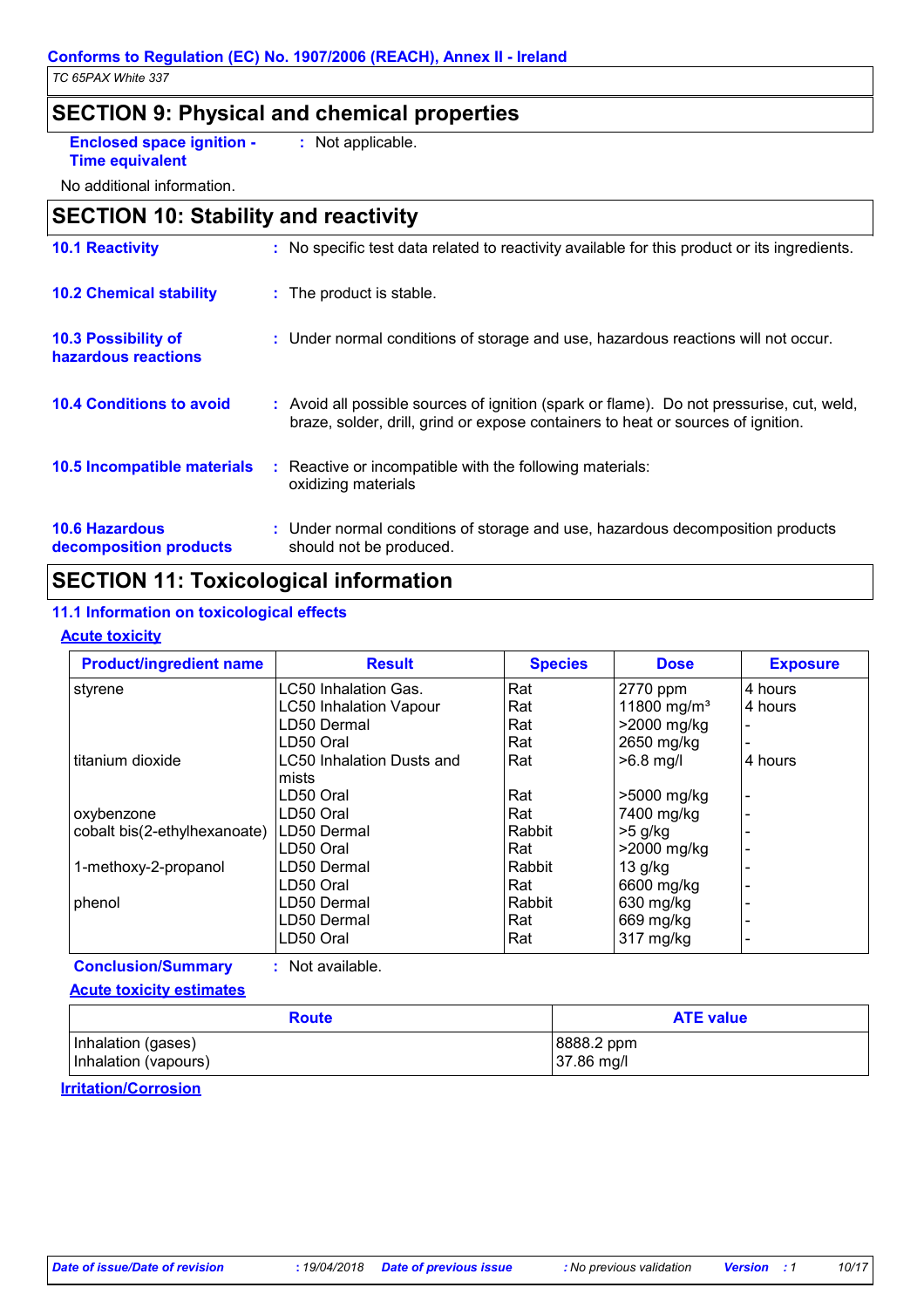### **SECTION 9: Physical and chemical properties**

**Enclosed space ignition - :** Not applicable.

**Time equivalent**

No additional information.

## **10.2 Chemical stability** : The product is stable. **SECTION 10: Stability and reactivity 10.1 Reactivity :** No specific test data related to reactivity available for this product or its ingredients.

| 10.3 Possibility of<br>hazardous reactions      | : Under normal conditions of storage and use, hazardous reactions will not occur.                                                                                            |
|-------------------------------------------------|------------------------------------------------------------------------------------------------------------------------------------------------------------------------------|
| <b>10.4 Conditions to avoid</b>                 | : Avoid all possible sources of ignition (spark or flame). Do not pressurise, cut, weld,<br>braze, solder, drill, grind or expose containers to heat or sources of ignition. |
| 10.5 Incompatible materials                     | : Reactive or incompatible with the following materials:<br>oxidizing materials                                                                                              |
| <b>10.6 Hazardous</b><br>decomposition products | : Under normal conditions of storage and use, hazardous decomposition products<br>should not be produced.                                                                    |

## **SECTION 11: Toxicological information**

### **11.1 Information on toxicological effects**

### **Acute toxicity**

| <b>Product/ingredient name</b> | <b>Result</b>                              | <b>Species</b> | <b>Dose</b>             | <b>Exposure</b> |
|--------------------------------|--------------------------------------------|----------------|-------------------------|-----------------|
| styrene                        | LC50 Inhalation Gas.                       | Rat            | 2770 ppm                | 4 hours         |
|                                | <b>LC50 Inhalation Vapour</b>              | Rat            | 11800 mg/m <sup>3</sup> | 4 hours         |
|                                | LD50 Dermal                                | Rat            | >2000 mg/kg             |                 |
|                                | LD50 Oral                                  | Rat            | 2650 mg/kg              |                 |
| titanium dioxide               | <b>LC50 Inhalation Dusts and</b><br>lmists | Rat            | $>6.8$ mg/l             | 4 hours         |
|                                | LD50 Oral                                  | Rat            | >5000 mg/kg             |                 |
| oxybenzone                     | LD50 Oral                                  | Rat            | 7400 mg/kg              |                 |
| cobalt bis(2-ethylhexanoate)   | LD50 Dermal                                | Rabbit         | $>5$ g/kg               |                 |
|                                | LD50 Oral                                  | l Rat          | >2000 mg/kg             |                 |
| 1-methoxy-2-propanol           | LD50 Dermal                                | Rabbit         | 13 g/kg                 |                 |
|                                | LD50 Oral                                  | Rat            | 6600 mg/kg              |                 |
| phenol                         | LD50 Dermal                                | Rabbit         | 630 mg/kg               |                 |
|                                | LD50 Dermal                                | Rat            | 669 mg/kg               |                 |
|                                | LD50 Oral                                  | Rat            | 317 mg/kg               |                 |

**Conclusion/Summary :** Not available.

#### **Acute toxicity estimates**

| <b>Route</b>         | <b>ATE value</b> |
|----------------------|------------------|
| Inhalation (gases)   | 8888.2 ppm       |
| Inhalation (vapours) | $37.86$ mg/l     |

**Irritation/Corrosion**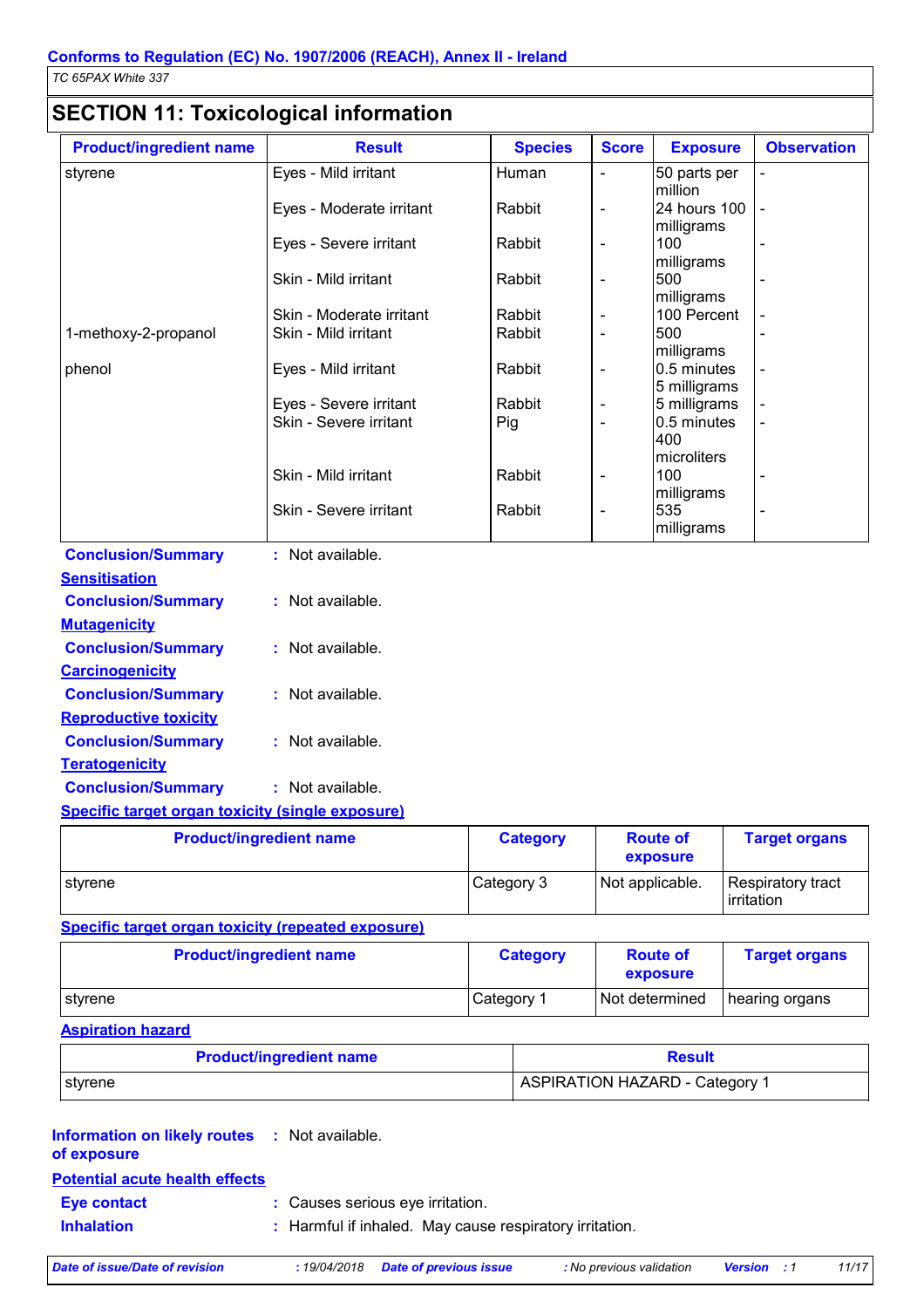## **SECTION 11: Toxicological information**

| <b>Product/ingredient name</b> | <b>Result</b>            | <b>Species</b> | <b>Score</b>                 | <b>Exposure</b>                 | <b>Observation</b> |
|--------------------------------|--------------------------|----------------|------------------------------|---------------------------------|--------------------|
| styrene                        | Eyes - Mild irritant     | Human          | $\blacksquare$               | 50 parts per<br>million         |                    |
|                                | Eyes - Moderate irritant | Rabbit         | $\blacksquare$               | 24 hours 100<br>milligrams      | $\blacksquare$     |
|                                | Eyes - Severe irritant   | Rabbit         | $\blacksquare$               | 100<br>milligrams               |                    |
|                                | Skin - Mild irritant     | Rabbit         | $\overline{\phantom{a}}$     | 500<br>milligrams               |                    |
|                                | Skin - Moderate irritant | Rabbit         | $\overline{\phantom{a}}$     | 100 Percent                     |                    |
| 1-methoxy-2-propanol           | Skin - Mild irritant     | Rabbit         | $\blacksquare$               | 500<br>milligrams               |                    |
| phenol                         | Eyes - Mild irritant     | Rabbit         | $\overline{\phantom{a}}$     | 0.5 minutes<br>5 milligrams     |                    |
|                                | Eyes - Severe irritant   | Rabbit         | $\overline{\phantom{a}}$     | 5 milligrams                    |                    |
|                                | Skin - Severe irritant   | Pig            | $\blacksquare$               | 0.5 minutes<br>400              |                    |
|                                | Skin - Mild irritant     | Rabbit         | $\qquad \qquad \blacksquare$ | microliters<br>100              |                    |
|                                | Skin - Severe irritant   | Rabbit         | $\frac{1}{2}$                | milligrams<br>535<br>milligrams |                    |
| <b>Conclusion/Summary</b>      | : Not available.         |                |                              |                                 |                    |
| <b>Sensitisation</b>           |                          |                |                              |                                 |                    |
| <b>Conclusion/Summary</b>      | : Not available.         |                |                              |                                 |                    |
| <b>Mutagenicity</b>            |                          |                |                              |                                 |                    |
| <b>Conclusion/Summary</b>      | : Not available.         |                |                              |                                 |                    |
| <b>Carcinogenicity</b>         |                          |                |                              |                                 |                    |
| <b>Conclusion/Summary</b>      | : Not available.         |                |                              |                                 |                    |
| <b>Reproductive toxicity</b>   |                          |                |                              |                                 |                    |
| <b>Conclusion/Summary</b>      | : Not available.         |                |                              |                                 |                    |
| <b>Teratogenicity</b>          |                          |                |                              |                                 |                    |
| <b>Conclusion/Summary</b>      | : Not available.         |                |                              |                                 |                    |

### **Specific target organ toxicity (single exposure)**

| <b>Product/ingredient name</b> | <b>Category</b> | <b>Route of</b><br>exposure | <b>Target organs</b>                     |
|--------------------------------|-----------------|-----------------------------|------------------------------------------|
| styrene                        | Category 3      | Not applicable.             | Respiratory tract<br><b>l</b> irritation |

### **Specific target organ toxicity (repeated exposure)**

| <b>Product/ingredient name</b> | <b>Category</b> | <b>Route of</b><br>exposure | <b>Target organs</b> |
|--------------------------------|-----------------|-----------------------------|----------------------|
| I styrene                      | Category 1      | Not determined              | I hearing organs     |

### **Aspiration hazard**

| <b>Product/ingredient name</b> | <b>Result</b>                  |  |  |
|--------------------------------|--------------------------------|--|--|
| I styrene                      | ASPIRATION HAZARD - Category 1 |  |  |

### **Potential acute health effects Information on likely routes : Not available. of exposure**

| <b>Eye contact</b> | : Causes serious eye irritation.                        |
|--------------------|---------------------------------------------------------|
| <b>Inhalation</b>  | : Harmful if inhaled. May cause respiratory irritation. |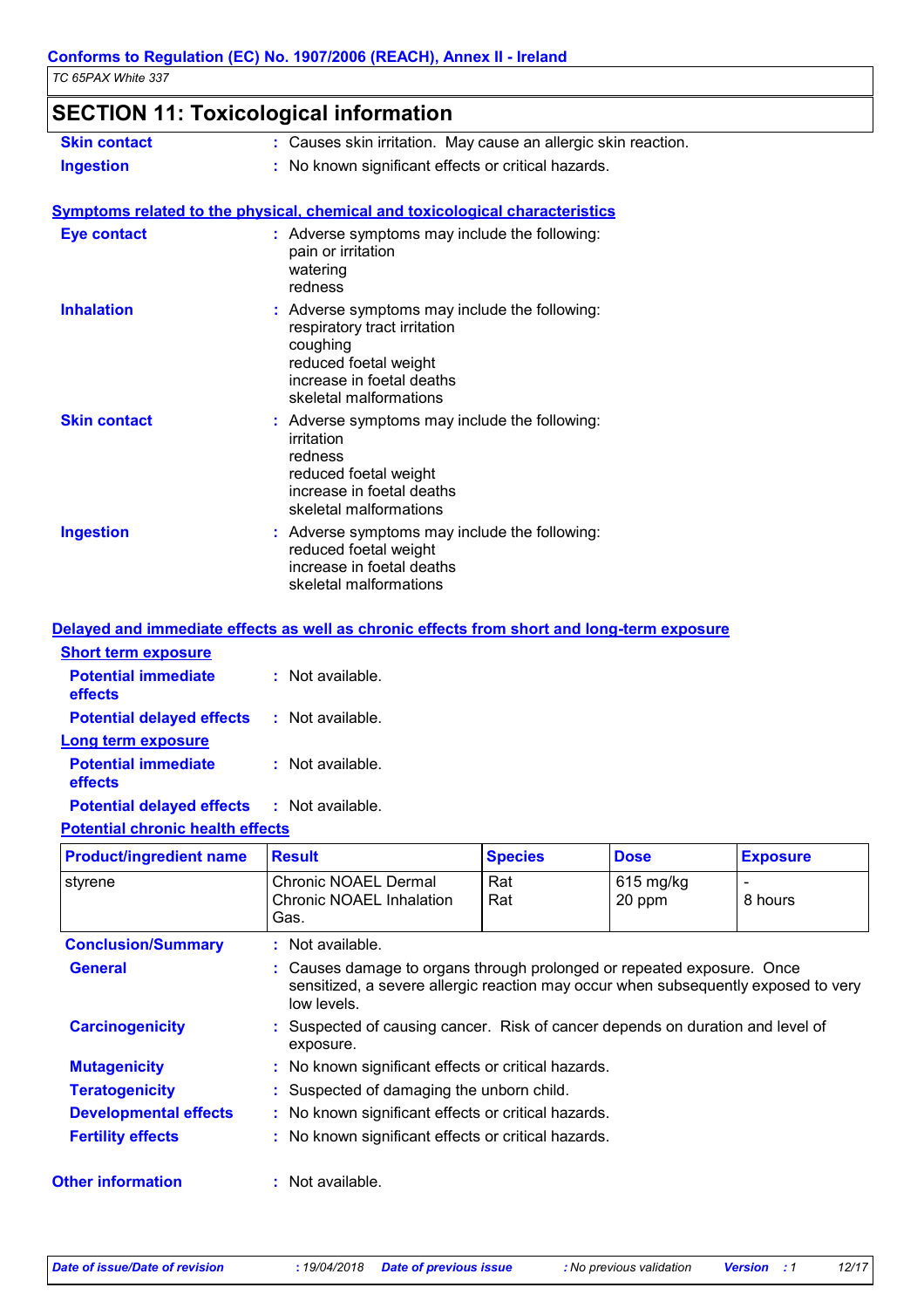## **SECTION 11: Toxicological information**

| <b>Skin contact</b> | : Causes skin irritation. May cause an allergic skin reaction. |
|---------------------|----------------------------------------------------------------|
| <b>Ingestion</b>    | : No known significant effects or critical hazards.            |

#### **Symptoms related to the physical, chemical and toxicological characteristics Skin contact Ingestion Inhalation Adverse symptoms may include the following:**  $\blacksquare$ respiratory tract irritation coughing reduced foetal weight increase in foetal deaths skeletal malformations Adverse symptoms may include the following: **:** reduced foetal weight increase in foetal deaths Adverse symptoms may include the following: **:** irritation redness reduced foetal weight increase in foetal deaths skeletal malformations **Eye contact :** Adverse symptoms may include the following: pain or irritation watering redness

|                                                   | Delayed and immediate effects as well as chronic effects from short and long-term exposure |
|---------------------------------------------------|--------------------------------------------------------------------------------------------|
| <b>Short term exposure</b>                        |                                                                                            |
| <b>Potential immediate</b><br><b>effects</b>      | : Not available.                                                                           |
| <b>Potential delayed effects : Not available.</b> |                                                                                            |
| <b>Long term exposure</b>                         |                                                                                            |
| <b>Potential immediate</b><br><b>effects</b>      | : Not available.                                                                           |
| <b>Potential delayed effects : Not available.</b> |                                                                                            |

skeletal malformations

### **Potential chronic health effects**

| <b>Product/ingredient name</b> | <b>Result</b>                                                                                                                                                               | <b>Species</b> | <b>Dose</b>           | <b>Exposure</b> |
|--------------------------------|-----------------------------------------------------------------------------------------------------------------------------------------------------------------------------|----------------|-----------------------|-----------------|
| styrene                        | Chronic NOAEL Dermal<br><b>Chronic NOAEL Inhalation</b><br>Gas.                                                                                                             | Rat<br>Rat     | $615$ mg/kg<br>20 ppm | 8 hours         |
| <b>Conclusion/Summary</b>      | $:$ Not available.                                                                                                                                                          |                |                       |                 |
| <b>General</b>                 | : Causes damage to organs through prolonged or repeated exposure. Once<br>sensitized, a severe allergic reaction may occur when subsequently exposed to very<br>low levels. |                |                       |                 |
| <b>Carcinogenicity</b>         | : Suspected of causing cancer. Risk of cancer depends on duration and level of<br>exposure.                                                                                 |                |                       |                 |
| <b>Mutagenicity</b>            | : No known significant effects or critical hazards.                                                                                                                         |                |                       |                 |
| <b>Teratogenicity</b>          | : Suspected of damaging the unborn child.                                                                                                                                   |                |                       |                 |
| <b>Developmental effects</b>   | : No known significant effects or critical hazards.                                                                                                                         |                |                       |                 |
| <b>Fertility effects</b>       | : No known significant effects or critical hazards.                                                                                                                         |                |                       |                 |
| <b>Other information</b>       | $:$ Not available.                                                                                                                                                          |                |                       |                 |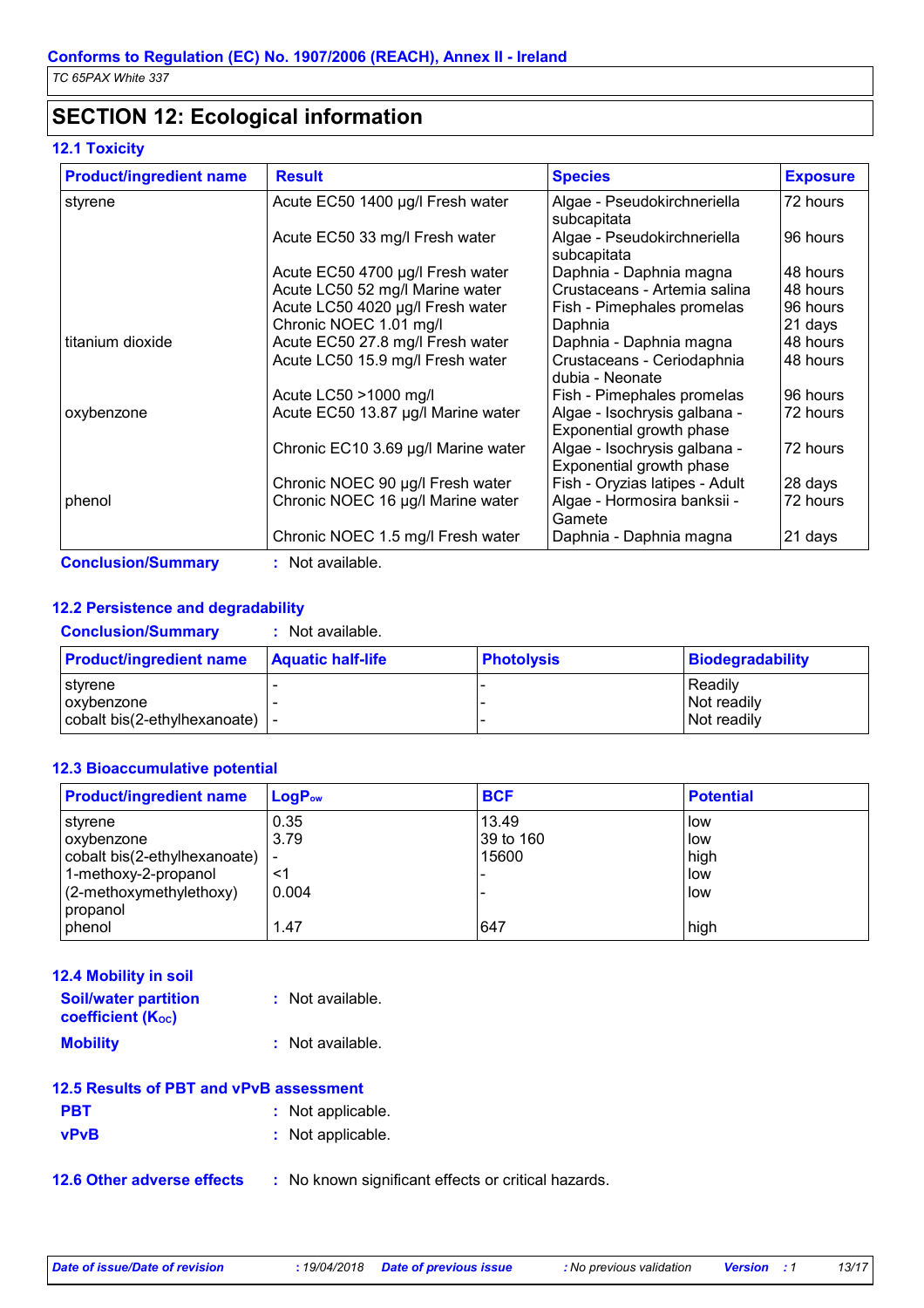## **SECTION 12: Ecological information**

### **12.1 Toxicity**

| <b>Product/ingredient name</b> | <b>Result</b>                       | <b>Species</b>                                           | <b>Exposure</b> |
|--------------------------------|-------------------------------------|----------------------------------------------------------|-----------------|
| styrene                        | Acute EC50 1400 µg/l Fresh water    | Algae - Pseudokirchneriella                              | 72 hours        |
|                                |                                     | subcapitata                                              |                 |
|                                | Acute EC50 33 mg/l Fresh water      | Algae - Pseudokirchneriella<br>subcapitata               | 96 hours        |
|                                | Acute EC50 4700 µg/l Fresh water    | Daphnia - Daphnia magna                                  | 48 hours        |
|                                | Acute LC50 52 mg/l Marine water     | Crustaceans - Artemia salina                             | 48 hours        |
|                                | Acute LC50 4020 µg/l Fresh water    | Fish - Pimephales promelas                               | 96 hours        |
|                                | Chronic NOEC 1.01 mg/l              | Daphnia                                                  | 21 days         |
| titanium dioxide               | Acute EC50 27.8 mg/l Fresh water    | Daphnia - Daphnia magna                                  | 48 hours        |
|                                | Acute LC50 15.9 mg/l Fresh water    | Crustaceans - Ceriodaphnia<br>dubia - Neonate            | 48 hours        |
|                                | Acute LC50 >1000 mg/l               | Fish - Pimephales promelas                               | 96 hours        |
| oxybenzone                     | Acute EC50 13.87 µg/l Marine water  | Algae - Isochrysis galbana -<br>Exponential growth phase | 72 hours        |
|                                | Chronic EC10 3.69 µg/l Marine water | Algae - Isochrysis galbana -<br>Exponential growth phase | 72 hours        |
|                                | Chronic NOEC 90 µg/l Fresh water    | Fish - Oryzias latipes - Adult                           | 28 days         |
| phenol                         | Chronic NOEC 16 µg/l Marine water   | Algae - Hormosira banksii -<br>Gamete                    | 72 hours        |
|                                | Chronic NOEC 1.5 mg/l Fresh water   | Daphnia - Daphnia magna                                  | 21 days         |

### **12.2 Persistence and degradability**

| <b>Conclusion/Summary</b>                               | Not available.           |            |                                       |
|---------------------------------------------------------|--------------------------|------------|---------------------------------------|
| <b>Product/ingredient name</b>                          | <b>Aquatic half-life</b> | Photolysis | Biodegradability                      |
| I styrene<br>oxybenzone<br>cobalt bis(2-ethylhexanoate) |                          |            | Readily<br>Not readily<br>Not readily |

### **12.3 Bioaccumulative potential**

| <b>Product/ingredient name</b>        | $\mathsf{LogP}_\mathsf{ow}$ | <b>BCF</b>         | <b>Potential</b> |
|---------------------------------------|-----------------------------|--------------------|------------------|
| styrene<br>oxybenzone                 | 0.35<br>3.79                | 13.49<br>39 to 160 | low<br>low       |
| cobalt bis(2-ethylhexanoate)          | $\overline{\phantom{a}}$    | 15600              | high             |
| 1-methoxy-2-propanol                  | <1                          |                    | low              |
| (2-methoxymethylethoxy)<br>I propanol | 0.004                       |                    | low              |
| phenol                                | 1.47                        | 647                | high             |

| 12.4 Mobility in soil                                   |                  |
|---------------------------------------------------------|------------------|
| <b>Soil/water partition</b><br><b>coefficient (Koc)</b> | : Not available. |
| <b>Mobility</b>                                         | : Not available. |

|  | 12.5 Results of PBT and vPvB assessment |
|--|-----------------------------------------|
|--|-----------------------------------------|

| <b>PBT</b>  | : Not applicable. |
|-------------|-------------------|
| <b>vPvB</b> | : Not applicable. |

**12.6 Other adverse effects** : No known significant effects or critical hazards.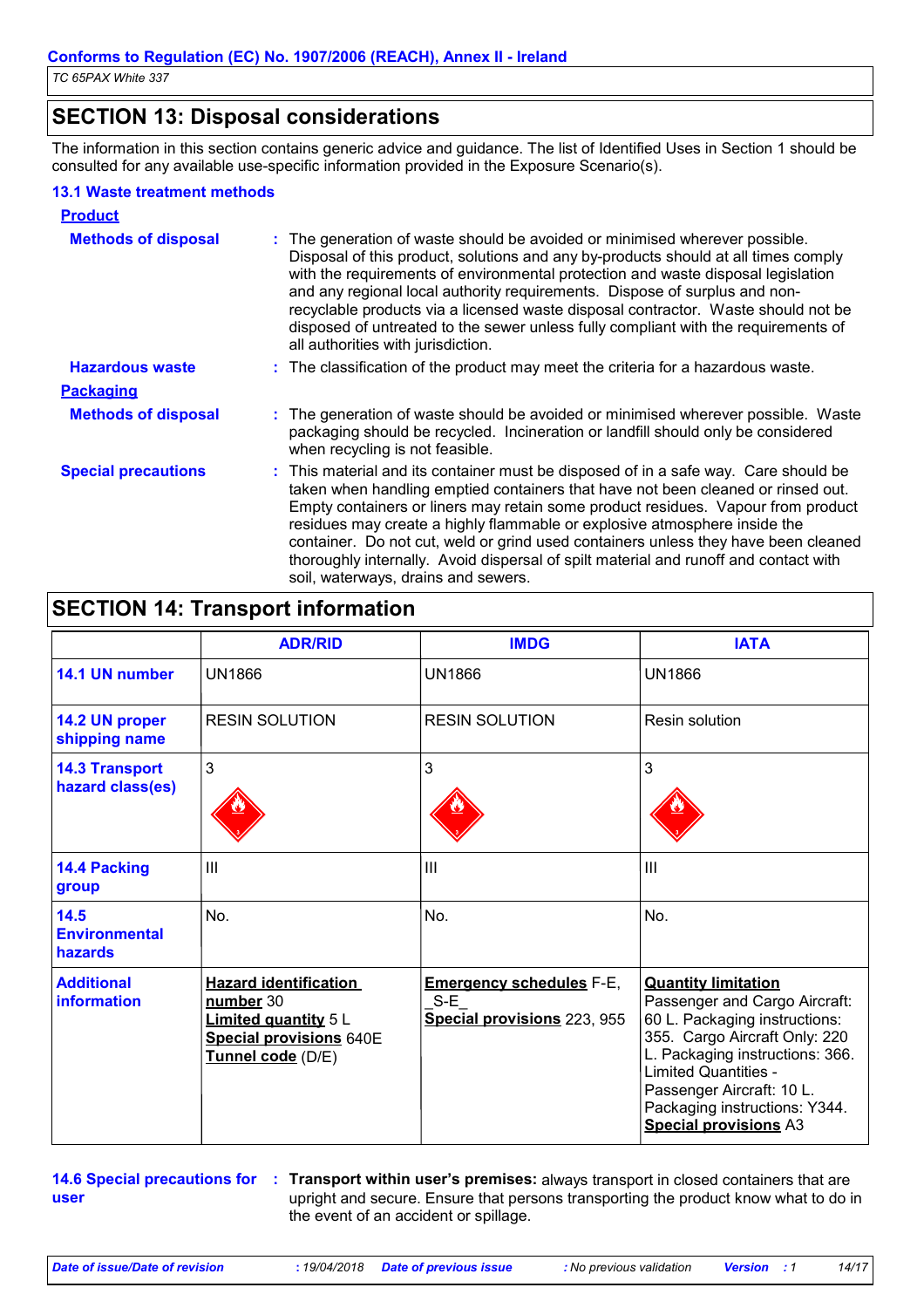## **SECTION 13: Disposal considerations**

The information in this section contains generic advice and guidance. The list of Identified Uses in Section 1 should be consulted for any available use-specific information provided in the Exposure Scenario(s).

### **13.1 Waste treatment methods**

| <b>Product</b>             |                                                                                                                                                                                                                                                                                                                                                                                                                                                                                                                                                               |
|----------------------------|---------------------------------------------------------------------------------------------------------------------------------------------------------------------------------------------------------------------------------------------------------------------------------------------------------------------------------------------------------------------------------------------------------------------------------------------------------------------------------------------------------------------------------------------------------------|
| <b>Methods of disposal</b> | : The generation of waste should be avoided or minimised wherever possible.<br>Disposal of this product, solutions and any by-products should at all times comply<br>with the requirements of environmental protection and waste disposal legislation<br>and any regional local authority requirements. Dispose of surplus and non-<br>recyclable products via a licensed waste disposal contractor. Waste should not be<br>disposed of untreated to the sewer unless fully compliant with the requirements of<br>all authorities with jurisdiction.          |
| <b>Hazardous waste</b>     | : The classification of the product may meet the criteria for a hazardous waste.                                                                                                                                                                                                                                                                                                                                                                                                                                                                              |
| <b>Packaging</b>           |                                                                                                                                                                                                                                                                                                                                                                                                                                                                                                                                                               |
| <b>Methods of disposal</b> | : The generation of waste should be avoided or minimised wherever possible. Waste<br>packaging should be recycled. Incineration or landfill should only be considered<br>when recycling is not feasible.                                                                                                                                                                                                                                                                                                                                                      |
| <b>Special precautions</b> | : This material and its container must be disposed of in a safe way. Care should be<br>taken when handling emptied containers that have not been cleaned or rinsed out.<br>Empty containers or liners may retain some product residues. Vapour from product<br>residues may create a highly flammable or explosive atmosphere inside the<br>container. Do not cut, weld or grind used containers unless they have been cleaned<br>thoroughly internally. Avoid dispersal of spilt material and runoff and contact with<br>soil, waterways, drains and sewers. |

## **SECTION 14: Transport information**

|                                           | <b>ADR/RID</b>                                                                                                           | <b>IMDG</b>                                                             | <b>IATA</b>                                                                                                                                                                                                                                                                                   |
|-------------------------------------------|--------------------------------------------------------------------------------------------------------------------------|-------------------------------------------------------------------------|-----------------------------------------------------------------------------------------------------------------------------------------------------------------------------------------------------------------------------------------------------------------------------------------------|
| 14.1 UN number                            | <b>UN1866</b>                                                                                                            | <b>UN1866</b>                                                           | <b>UN1866</b>                                                                                                                                                                                                                                                                                 |
| 14.2 UN proper<br>shipping name           | <b>RESIN SOLUTION</b>                                                                                                    | <b>RESIN SOLUTION</b>                                                   | Resin solution                                                                                                                                                                                                                                                                                |
| <b>14.3 Transport</b><br>hazard class(es) | 3                                                                                                                        | 3                                                                       | 3                                                                                                                                                                                                                                                                                             |
| <b>14.4 Packing</b><br>group              | $\mathbf{III}$                                                                                                           | $\mathbf{III}$                                                          | $\mathbf{III}$                                                                                                                                                                                                                                                                                |
| 14.5<br><b>Environmental</b><br>hazards   | No.                                                                                                                      | No.                                                                     | No.                                                                                                                                                                                                                                                                                           |
| <b>Additional</b><br>information          | <b>Hazard identification</b><br>number 30<br><b>Limited quantity 5 L</b><br>Special provisions 640E<br>Tunnel code (D/E) | <b>Emergency schedules F-E,</b><br>$S-E$<br>Special provisions 223, 955 | <b>Quantity limitation</b><br>Passenger and Cargo Aircraft:<br>60 L. Packaging instructions:<br>355. Cargo Aircraft Only: 220<br>L. Packaging instructions: 366.<br><b>Limited Quantities -</b><br>Passenger Aircraft: 10 L.<br>Packaging instructions: Y344.<br><b>Special provisions A3</b> |

**14.6 Special precautions for : Transport within user's premises:** always transport in closed containers that are **user** upright and secure. Ensure that persons transporting the product know what to do in the event of an accident or spillage.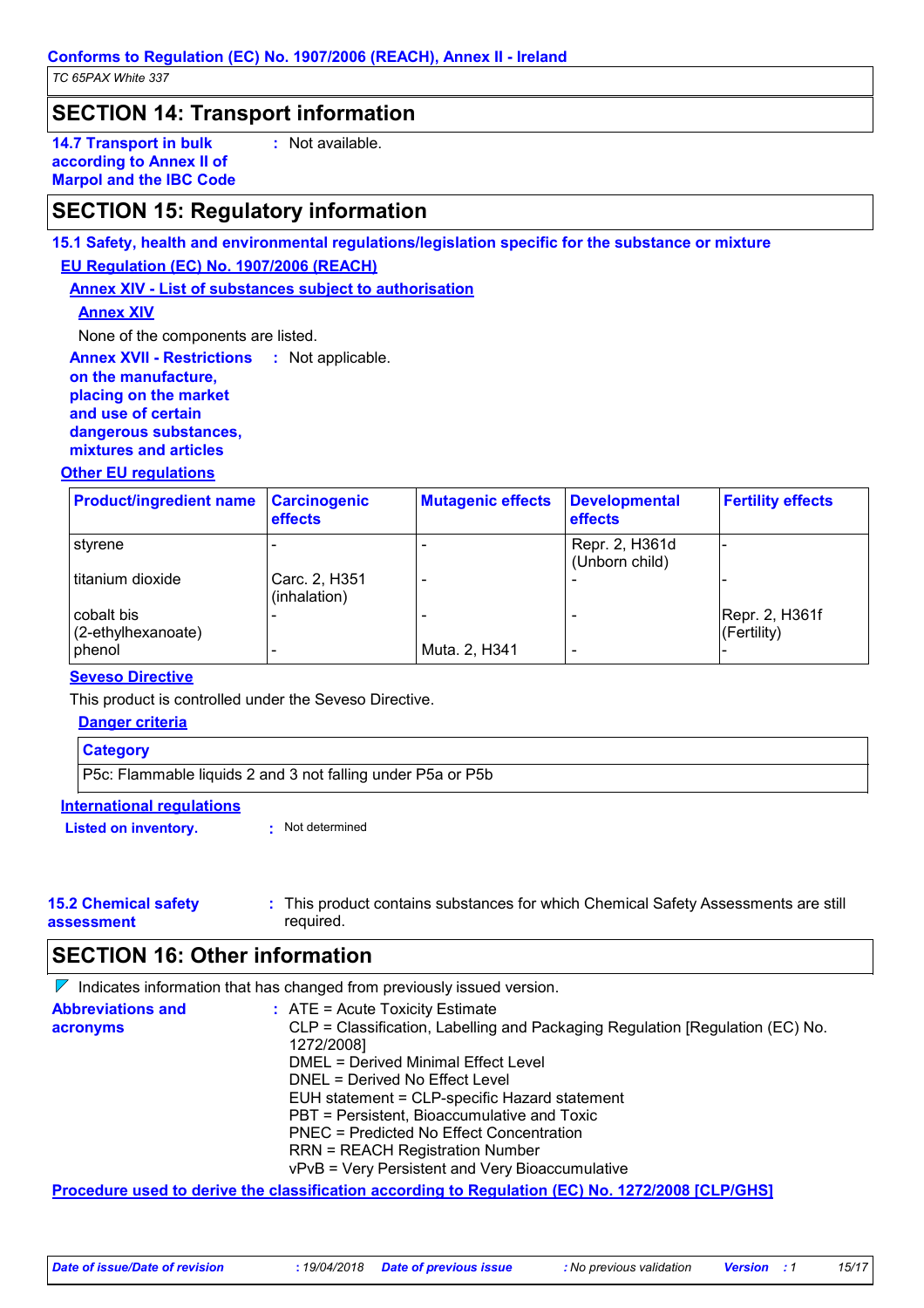### **SECTION 14: Transport information**

**14.7 Transport in bulk according to Annex II of Marpol and the IBC Code** **:** Not available.

## **SECTION 15: Regulatory information**

### **15.1 Safety, health and environmental regulations/legislation specific for the substance or mixture EU Regulation (EC) No. 1907/2006 (REACH)**

**Annex XIV - List of substances subject to authorisation**

### **Annex XIV**

None of the components are listed.

**Annex XVII - Restrictions : Not applicable. on the manufacture, placing on the market and use of certain dangerous substances, mixtures and articles**

### **Other EU regulations**

| <b>Product/ingredient name</b>      | <b>Carcinogenic</b><br><b>effects</b> | <b>Mutagenic effects</b> | Developmental<br>effects         | <b>Fertility effects</b>          |
|-------------------------------------|---------------------------------------|--------------------------|----------------------------------|-----------------------------------|
| styrene                             |                                       |                          | Repr. 2, H361d<br>(Unborn child) |                                   |
| titanium dioxide                    | Carc. 2, H351<br>(inhalation)         | ٠                        |                                  |                                   |
| cobalt bis<br>$(2$ -ethylhexanoate) |                                       |                          |                                  | Repr. 2, H361f<br>$ $ (Fertility) |
| <b>phenol</b>                       | -                                     | Muta. 2, H341            | $\overline{\phantom{0}}$         |                                   |

### **Seveso Directive**

This product is controlled under the Seveso Directive.

|                                  | Danger criteria                                             |  |  |
|----------------------------------|-------------------------------------------------------------|--|--|
|                                  | <b>Category</b>                                             |  |  |
|                                  | P5c: Flammable liquids 2 and 3 not falling under P5a or P5b |  |  |
| <b>International requlations</b> |                                                             |  |  |
|                                  | Not determined<br><b>Listed on inventory.</b>               |  |  |

#### **15.2 Chemical safety assessment** This product contains substances for which Chemical Safety Assessments are still **:** required.

## **SECTION 16: Other information**

 $\nabla$  Indicates information that has changed from previously issued version.

| <b>Abbreviations and</b> | $:$ ATE = Acute Toxicity Estimate<br>CLP = Classification, Labelling and Packaging Regulation [Regulation (EC) No. |
|--------------------------|--------------------------------------------------------------------------------------------------------------------|
| acronyms                 | 1272/2008]                                                                                                         |
|                          | DMEL = Derived Minimal Effect Level                                                                                |
|                          | DNEL = Derived No Effect Level                                                                                     |
|                          | EUH statement = CLP-specific Hazard statement                                                                      |
|                          | PBT = Persistent, Bioaccumulative and Toxic                                                                        |
|                          | PNEC = Predicted No Effect Concentration                                                                           |
|                          | <b>RRN = REACH Registration Number</b>                                                                             |
|                          | vPvB = Very Persistent and Very Bioaccumulative                                                                    |
|                          | Bassa alam sa sa ata ata ang ang ang ang ang atawang ang Bassa ang ang apangang ang panganggang bang ing taon      |

**Procedure used to derive the classification according to Regulation (EC) No. 1272/2008 [CLP/GHS]**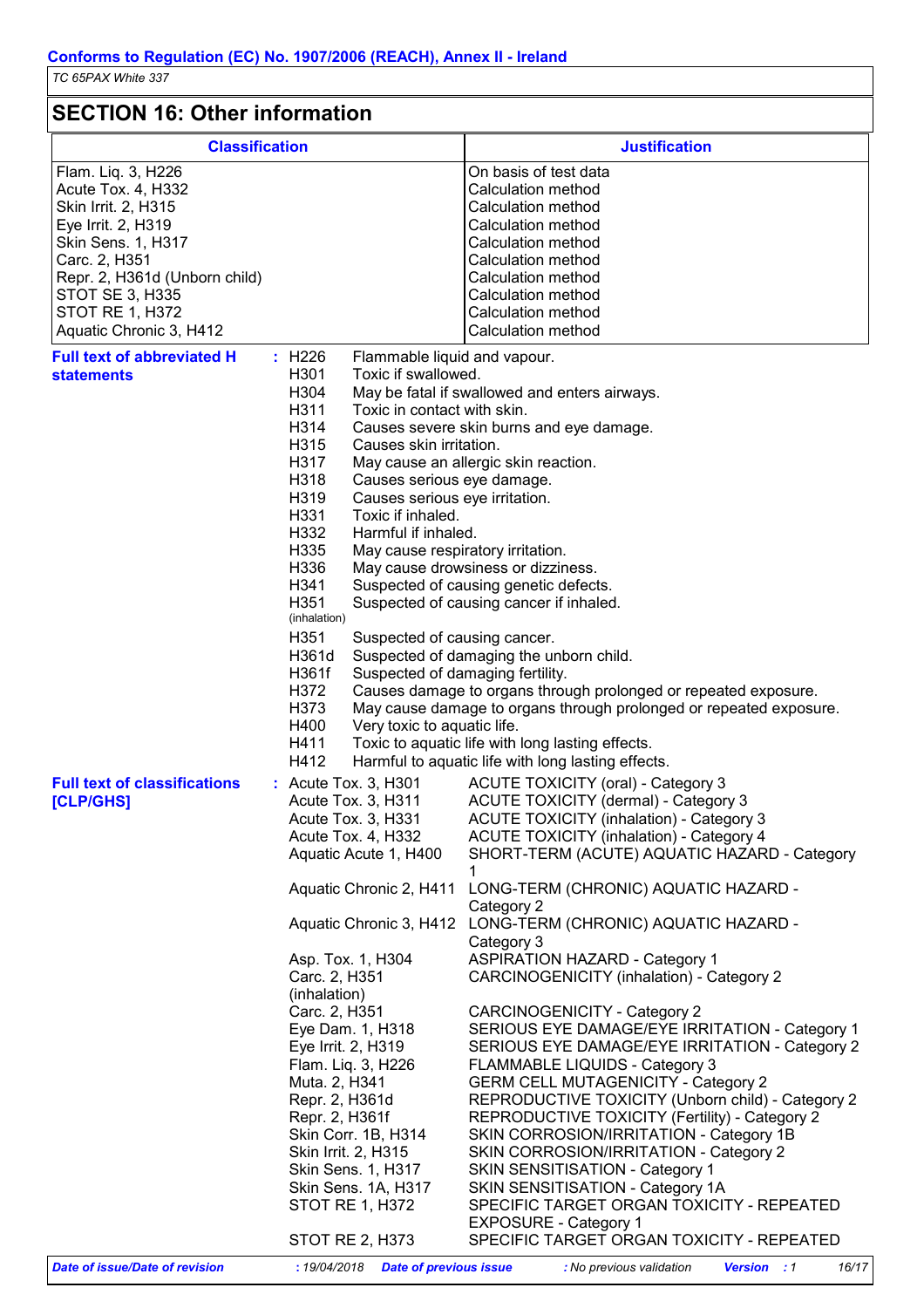## **SECTION 16: Other information**

| <b>Classification</b>                                                                                                                                                                                                                 |                                                                                                                                                                                                                                                                                                                                                                                                                                                             | <b>Justification</b>                                                                                                                                                                                                                                                                                                                                                                                                                                                                                                                                                                                                                                                                                                                                                                                                                                                                                                                                                                                                                              |  |
|---------------------------------------------------------------------------------------------------------------------------------------------------------------------------------------------------------------------------------------|-------------------------------------------------------------------------------------------------------------------------------------------------------------------------------------------------------------------------------------------------------------------------------------------------------------------------------------------------------------------------------------------------------------------------------------------------------------|---------------------------------------------------------------------------------------------------------------------------------------------------------------------------------------------------------------------------------------------------------------------------------------------------------------------------------------------------------------------------------------------------------------------------------------------------------------------------------------------------------------------------------------------------------------------------------------------------------------------------------------------------------------------------------------------------------------------------------------------------------------------------------------------------------------------------------------------------------------------------------------------------------------------------------------------------------------------------------------------------------------------------------------------------|--|
| Flam. Liq. 3, H226<br>Acute Tox. 4, H332<br>Skin Irrit. 2, H315<br>Eye Irrit. 2, H319<br>Skin Sens. 1, H317<br>Carc. 2, H351<br>Repr. 2, H361d (Unborn child)<br>STOT SE 3, H335<br><b>STOT RE 1, H372</b><br>Aquatic Chronic 3, H412 |                                                                                                                                                                                                                                                                                                                                                                                                                                                             | On basis of test data<br>Calculation method<br>Calculation method<br>Calculation method<br>Calculation method<br>Calculation method<br>Calculation method<br>Calculation method<br>Calculation method                                                                                                                                                                                                                                                                                                                                                                                                                                                                                                                                                                                                                                                                                                                                                                                                                                             |  |
| <b>Full text of abbreviated H</b><br><b>statements</b>                                                                                                                                                                                | : H226<br>H301<br>H304<br>H311<br>H314<br>H315<br>H317<br>H318<br>H319<br>H331<br>Toxic if inhaled.<br>H332<br>H335<br>H336<br>H341<br>H351<br>(inhalation)<br>H351<br>H361d<br>H361f<br>H372<br>H373<br>H400<br>H411<br>H412                                                                                                                                                                                                                               | Calculation method<br>Flammable liquid and vapour.<br>Toxic if swallowed.<br>May be fatal if swallowed and enters airways.<br>Toxic in contact with skin.<br>Causes severe skin burns and eye damage.<br>Causes skin irritation.<br>May cause an allergic skin reaction.<br>Causes serious eye damage.<br>Causes serious eye irritation.<br>Harmful if inhaled.<br>May cause respiratory irritation.<br>May cause drowsiness or dizziness.<br>Suspected of causing genetic defects.<br>Suspected of causing cancer if inhaled.<br>Suspected of causing cancer.<br>Suspected of damaging the unborn child.<br>Suspected of damaging fertility.<br>Causes damage to organs through prolonged or repeated exposure.<br>May cause damage to organs through prolonged or repeated exposure.<br>Very toxic to aquatic life.<br>Toxic to aquatic life with long lasting effects.<br>Harmful to aquatic life with long lasting effects.                                                                                                                   |  |
| <b>Full text of classifications</b><br><b>[CLP/GHS]</b>                                                                                                                                                                               | : Acute Tox. 3, H301<br>Acute Tox. 3, H311<br>Acute Tox. 3, H331<br>Acute Tox. 4, H332<br>Aquatic Acute 1, H400<br>Aquatic Chronic 2, H411<br>Asp. Tox. 1, H304<br>Carc. 2, H351<br>(inhalation)<br>Carc. 2, H351<br>Eye Dam. 1, H318<br>Eye Irrit. 2, H319<br>Flam. Liq. 3, H226<br>Muta. 2, H341<br>Repr. 2, H361d<br>Repr. 2, H361f<br>Skin Corr. 1B, H314<br>Skin Irrit. 2, H315<br>Skin Sens. 1, H317<br>Skin Sens. 1A, H317<br><b>STOT RE 1, H372</b> | <b>ACUTE TOXICITY (oral) - Category 3</b><br>ACUTE TOXICITY (dermal) - Category 3<br><b>ACUTE TOXICITY (inhalation) - Category 3</b><br><b>ACUTE TOXICITY (inhalation) - Category 4</b><br>SHORT-TERM (ACUTE) AQUATIC HAZARD - Category<br>1<br>LONG-TERM (CHRONIC) AQUATIC HAZARD -<br>Category 2<br>Aquatic Chronic 3, H412 LONG-TERM (CHRONIC) AQUATIC HAZARD -<br>Category 3<br><b>ASPIRATION HAZARD - Category 1</b><br>CARCINOGENICITY (inhalation) - Category 2<br>CARCINOGENICITY - Category 2<br>SERIOUS EYE DAMAGE/EYE IRRITATION - Category 1<br>SERIOUS EYE DAMAGE/EYE IRRITATION - Category 2<br><b>FLAMMABLE LIQUIDS - Category 3</b><br><b>GERM CELL MUTAGENICITY - Category 2</b><br>REPRODUCTIVE TOXICITY (Unborn child) - Category 2<br>REPRODUCTIVE TOXICITY (Fertility) - Category 2<br>SKIN CORROSION/IRRITATION - Category 1B<br>SKIN CORROSION/IRRITATION - Category 2<br>SKIN SENSITISATION - Category 1<br>SKIN SENSITISATION - Category 1A<br>SPECIFIC TARGET ORGAN TOXICITY - REPEATED<br><b>EXPOSURE - Category 1</b> |  |
|                                                                                                                                                                                                                                       | STOT RE 2, H373                                                                                                                                                                                                                                                                                                                                                                                                                                             | SPECIFIC TARGET ORGAN TOXICITY - REPEATED                                                                                                                                                                                                                                                                                                                                                                                                                                                                                                                                                                                                                                                                                                                                                                                                                                                                                                                                                                                                         |  |